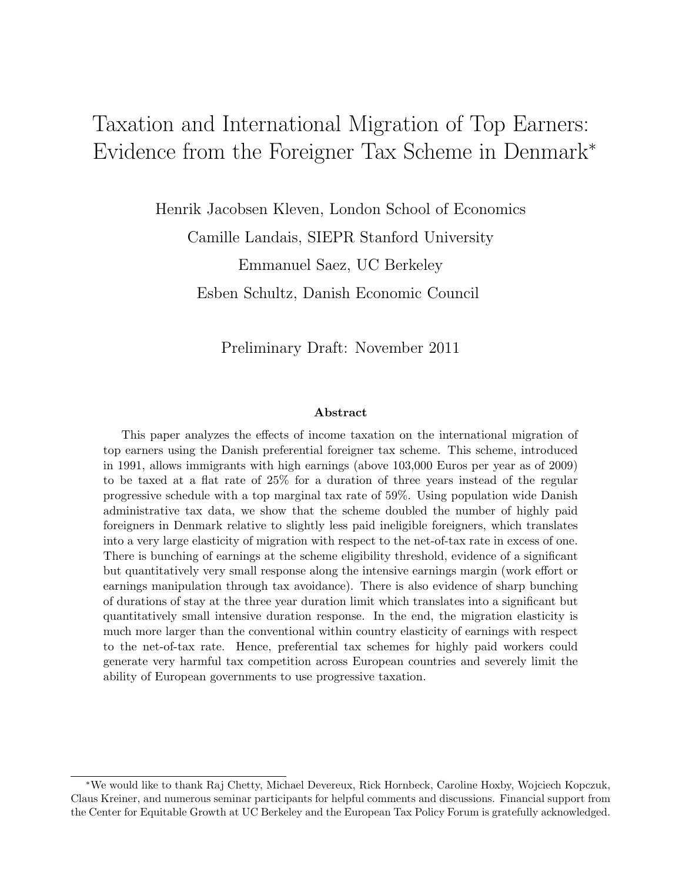# Taxation and International Migration of Top Earners: Evidence from the Foreigner Tax Scheme in Denmark<sup>∗</sup>

Henrik Jacobsen Kleven, London School of Economics Camille Landais, SIEPR Stanford University Emmanuel Saez, UC Berkeley Esben Schultz, Danish Economic Council

Preliminary Draft: November 2011

#### Abstract

This paper analyzes the effects of income taxation on the international migration of top earners using the Danish preferential foreigner tax scheme. This scheme, introduced in 1991, allows immigrants with high earnings (above 103,000 Euros per year as of 2009) to be taxed at a flat rate of 25% for a duration of three years instead of the regular progressive schedule with a top marginal tax rate of 59%. Using population wide Danish administrative tax data, we show that the scheme doubled the number of highly paid foreigners in Denmark relative to slightly less paid ineligible foreigners, which translates into a very large elasticity of migration with respect to the net-of-tax rate in excess of one. There is bunching of earnings at the scheme eligibility threshold, evidence of a significant but quantitatively very small response along the intensive earnings margin (work effort or earnings manipulation through tax avoidance). There is also evidence of sharp bunching of durations of stay at the three year duration limit which translates into a significant but quantitatively small intensive duration response. In the end, the migration elasticity is much more larger than the conventional within country elasticity of earnings with respect to the net-of-tax rate. Hence, preferential tax schemes for highly paid workers could generate very harmful tax competition across European countries and severely limit the ability of European governments to use progressive taxation.

<sup>∗</sup>We would like to thank Raj Chetty, Michael Devereux, Rick Hornbeck, Caroline Hoxby, Wojciech Kopczuk, Claus Kreiner, and numerous seminar participants for helpful comments and discussions. Financial support from the Center for Equitable Growth at UC Berkeley and the European Tax Policy Forum is gratefully acknowledged.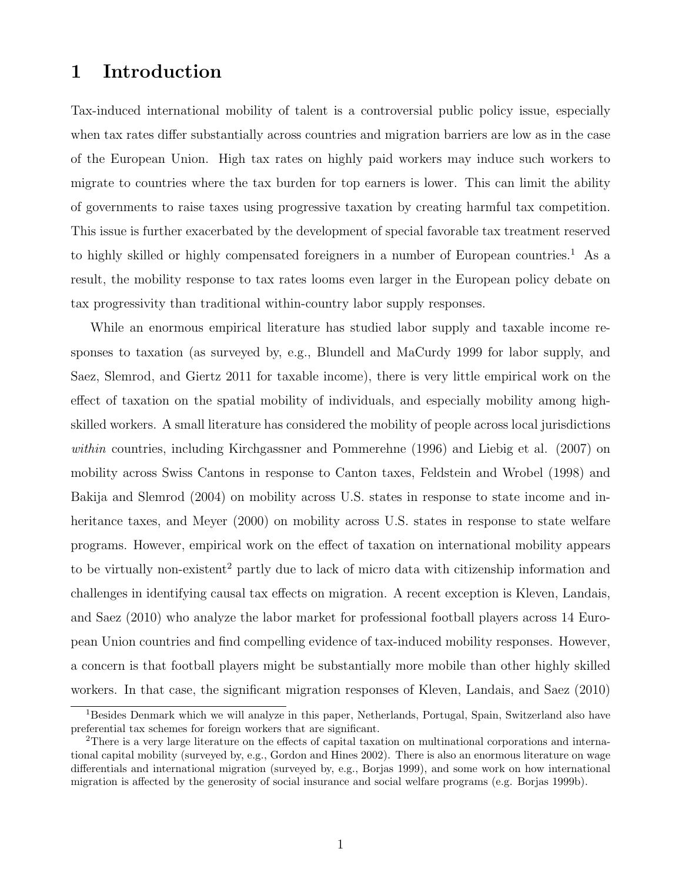# 1 Introduction

Tax-induced international mobility of talent is a controversial public policy issue, especially when tax rates differ substantially across countries and migration barriers are low as in the case of the European Union. High tax rates on highly paid workers may induce such workers to migrate to countries where the tax burden for top earners is lower. This can limit the ability of governments to raise taxes using progressive taxation by creating harmful tax competition. This issue is further exacerbated by the development of special favorable tax treatment reserved to highly skilled or highly compensated foreigners in a number of European countries.<sup>1</sup> As a result, the mobility response to tax rates looms even larger in the European policy debate on tax progressivity than traditional within-country labor supply responses.

While an enormous empirical literature has studied labor supply and taxable income responses to taxation (as surveyed by, e.g., Blundell and MaCurdy 1999 for labor supply, and Saez, Slemrod, and Giertz 2011 for taxable income), there is very little empirical work on the effect of taxation on the spatial mobility of individuals, and especially mobility among highskilled workers. A small literature has considered the mobility of people across local jurisdictions within countries, including Kirchgassner and Pommerehne (1996) and Liebig et al. (2007) on mobility across Swiss Cantons in response to Canton taxes, Feldstein and Wrobel (1998) and Bakija and Slemrod (2004) on mobility across U.S. states in response to state income and inheritance taxes, and Meyer (2000) on mobility across U.S. states in response to state welfare programs. However, empirical work on the effect of taxation on international mobility appears to be virtually non-existent<sup>2</sup> partly due to lack of micro data with citizenship information and challenges in identifying causal tax effects on migration. A recent exception is Kleven, Landais, and Saez (2010) who analyze the labor market for professional football players across 14 European Union countries and find compelling evidence of tax-induced mobility responses. However, a concern is that football players might be substantially more mobile than other highly skilled workers. In that case, the significant migration responses of Kleven, Landais, and Saez (2010)

<sup>&</sup>lt;sup>1</sup>Besides Denmark which we will analyze in this paper, Netherlands, Portugal, Spain, Switzerland also have preferential tax schemes for foreign workers that are significant.

<sup>&</sup>lt;sup>2</sup>There is a very large literature on the effects of capital taxation on multinational corporations and international capital mobility (surveyed by, e.g., Gordon and Hines 2002). There is also an enormous literature on wage differentials and international migration (surveyed by, e.g., Borjas 1999), and some work on how international migration is affected by the generosity of social insurance and social welfare programs (e.g. Borjas 1999b).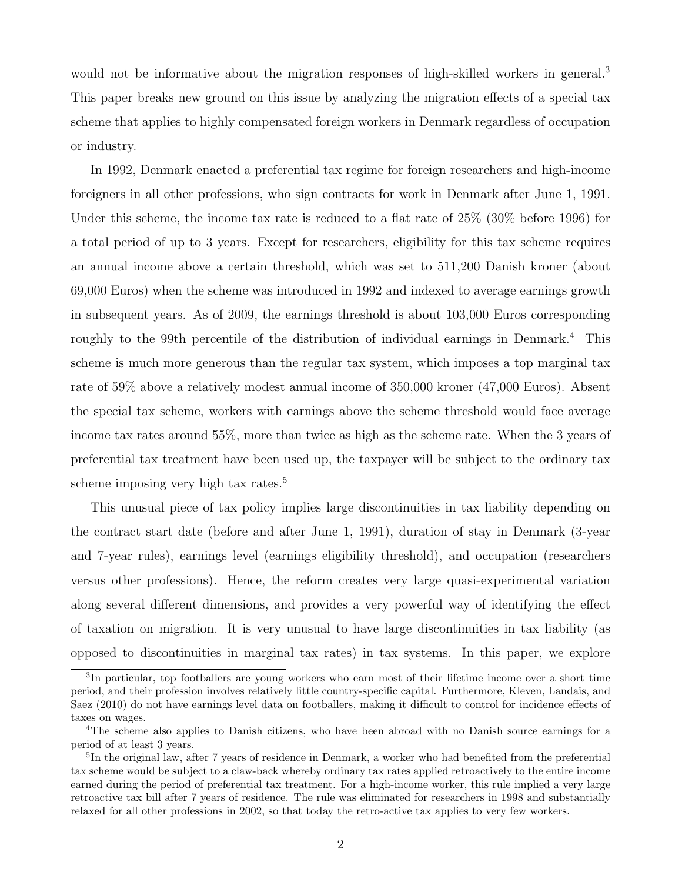would not be informative about the migration responses of high-skilled workers in general.<sup>3</sup> This paper breaks new ground on this issue by analyzing the migration effects of a special tax scheme that applies to highly compensated foreign workers in Denmark regardless of occupation or industry.

In 1992, Denmark enacted a preferential tax regime for foreign researchers and high-income foreigners in all other professions, who sign contracts for work in Denmark after June 1, 1991. Under this scheme, the income tax rate is reduced to a flat rate of 25% (30% before 1996) for a total period of up to 3 years. Except for researchers, eligibility for this tax scheme requires an annual income above a certain threshold, which was set to 511,200 Danish kroner (about 69,000 Euros) when the scheme was introduced in 1992 and indexed to average earnings growth in subsequent years. As of 2009, the earnings threshold is about 103,000 Euros corresponding roughly to the 99th percentile of the distribution of individual earnings in Denmark.<sup>4</sup> This scheme is much more generous than the regular tax system, which imposes a top marginal tax rate of 59% above a relatively modest annual income of 350,000 kroner (47,000 Euros). Absent the special tax scheme, workers with earnings above the scheme threshold would face average income tax rates around 55%, more than twice as high as the scheme rate. When the 3 years of preferential tax treatment have been used up, the taxpayer will be subject to the ordinary tax scheme imposing very high tax rates.<sup>5</sup>

This unusual piece of tax policy implies large discontinuities in tax liability depending on the contract start date (before and after June 1, 1991), duration of stay in Denmark (3-year and 7-year rules), earnings level (earnings eligibility threshold), and occupation (researchers versus other professions). Hence, the reform creates very large quasi-experimental variation along several different dimensions, and provides a very powerful way of identifying the effect of taxation on migration. It is very unusual to have large discontinuities in tax liability (as opposed to discontinuities in marginal tax rates) in tax systems. In this paper, we explore

<sup>&</sup>lt;sup>3</sup>In particular, top footballers are young workers who earn most of their lifetime income over a short time period, and their profession involves relatively little country-specific capital. Furthermore, Kleven, Landais, and Saez (2010) do not have earnings level data on footballers, making it difficult to control for incidence effects of taxes on wages.

<sup>4</sup>The scheme also applies to Danish citizens, who have been abroad with no Danish source earnings for a period of at least 3 years.

<sup>&</sup>lt;sup>5</sup>In the original law, after 7 years of residence in Denmark, a worker who had benefited from the preferential tax scheme would be subject to a claw-back whereby ordinary tax rates applied retroactively to the entire income earned during the period of preferential tax treatment. For a high-income worker, this rule implied a very large retroactive tax bill after 7 years of residence. The rule was eliminated for researchers in 1998 and substantially relaxed for all other professions in 2002, so that today the retro-active tax applies to very few workers.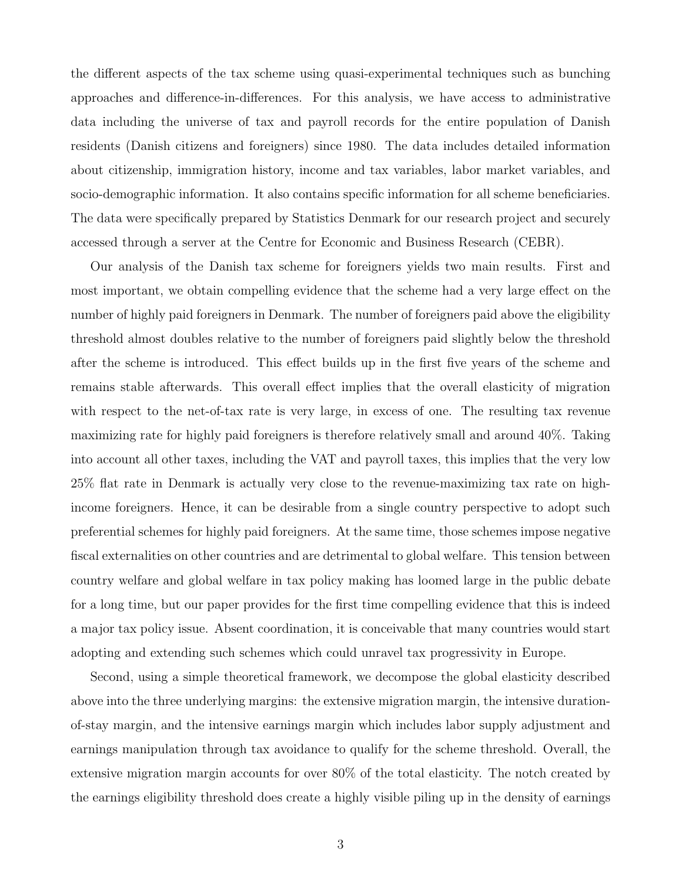the different aspects of the tax scheme using quasi-experimental techniques such as bunching approaches and difference-in-differences. For this analysis, we have access to administrative data including the universe of tax and payroll records for the entire population of Danish residents (Danish citizens and foreigners) since 1980. The data includes detailed information about citizenship, immigration history, income and tax variables, labor market variables, and socio-demographic information. It also contains specific information for all scheme beneficiaries. The data were specifically prepared by Statistics Denmark for our research project and securely accessed through a server at the Centre for Economic and Business Research (CEBR).

Our analysis of the Danish tax scheme for foreigners yields two main results. First and most important, we obtain compelling evidence that the scheme had a very large effect on the number of highly paid foreigners in Denmark. The number of foreigners paid above the eligibility threshold almost doubles relative to the number of foreigners paid slightly below the threshold after the scheme is introduced. This effect builds up in the first five years of the scheme and remains stable afterwards. This overall effect implies that the overall elasticity of migration with respect to the net-of-tax rate is very large, in excess of one. The resulting tax revenue maximizing rate for highly paid foreigners is therefore relatively small and around 40%. Taking into account all other taxes, including the VAT and payroll taxes, this implies that the very low 25% flat rate in Denmark is actually very close to the revenue-maximizing tax rate on highincome foreigners. Hence, it can be desirable from a single country perspective to adopt such preferential schemes for highly paid foreigners. At the same time, those schemes impose negative fiscal externalities on other countries and are detrimental to global welfare. This tension between country welfare and global welfare in tax policy making has loomed large in the public debate for a long time, but our paper provides for the first time compelling evidence that this is indeed a major tax policy issue. Absent coordination, it is conceivable that many countries would start adopting and extending such schemes which could unravel tax progressivity in Europe.

Second, using a simple theoretical framework, we decompose the global elasticity described above into the three underlying margins: the extensive migration margin, the intensive durationof-stay margin, and the intensive earnings margin which includes labor supply adjustment and earnings manipulation through tax avoidance to qualify for the scheme threshold. Overall, the extensive migration margin accounts for over 80% of the total elasticity. The notch created by the earnings eligibility threshold does create a highly visible piling up in the density of earnings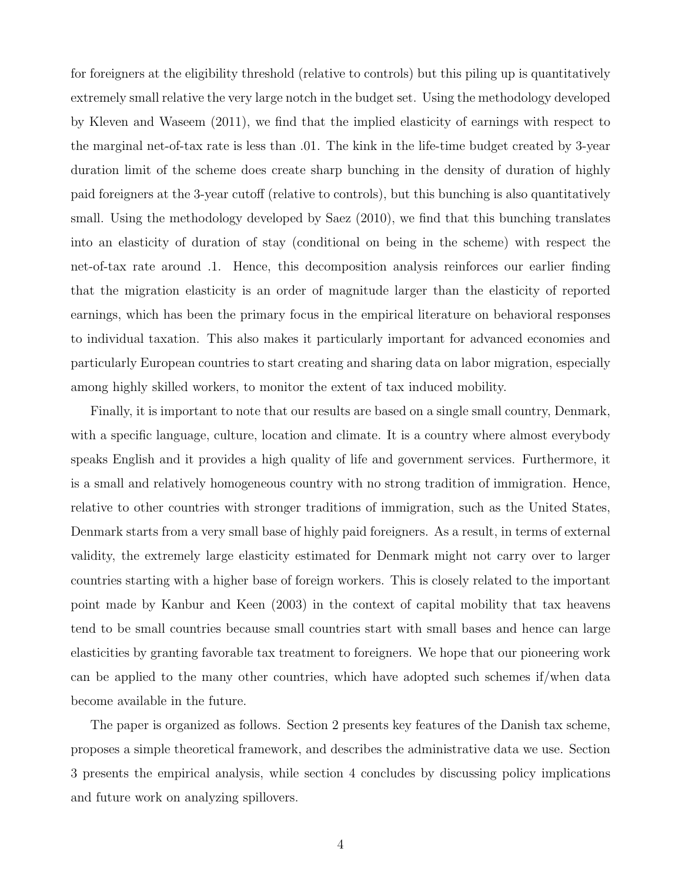for foreigners at the eligibility threshold (relative to controls) but this piling up is quantitatively extremely small relative the very large notch in the budget set. Using the methodology developed by Kleven and Waseem (2011), we find that the implied elasticity of earnings with respect to the marginal net-of-tax rate is less than .01. The kink in the life-time budget created by 3-year duration limit of the scheme does create sharp bunching in the density of duration of highly paid foreigners at the 3-year cutoff (relative to controls), but this bunching is also quantitatively small. Using the methodology developed by Saez (2010), we find that this bunching translates into an elasticity of duration of stay (conditional on being in the scheme) with respect the net-of-tax rate around .1. Hence, this decomposition analysis reinforces our earlier finding that the migration elasticity is an order of magnitude larger than the elasticity of reported earnings, which has been the primary focus in the empirical literature on behavioral responses to individual taxation. This also makes it particularly important for advanced economies and particularly European countries to start creating and sharing data on labor migration, especially among highly skilled workers, to monitor the extent of tax induced mobility.

Finally, it is important to note that our results are based on a single small country, Denmark, with a specific language, culture, location and climate. It is a country where almost everybody speaks English and it provides a high quality of life and government services. Furthermore, it is a small and relatively homogeneous country with no strong tradition of immigration. Hence, relative to other countries with stronger traditions of immigration, such as the United States, Denmark starts from a very small base of highly paid foreigners. As a result, in terms of external validity, the extremely large elasticity estimated for Denmark might not carry over to larger countries starting with a higher base of foreign workers. This is closely related to the important point made by Kanbur and Keen (2003) in the context of capital mobility that tax heavens tend to be small countries because small countries start with small bases and hence can large elasticities by granting favorable tax treatment to foreigners. We hope that our pioneering work can be applied to the many other countries, which have adopted such schemes if/when data become available in the future.

The paper is organized as follows. Section 2 presents key features of the Danish tax scheme, proposes a simple theoretical framework, and describes the administrative data we use. Section 3 presents the empirical analysis, while section 4 concludes by discussing policy implications and future work on analyzing spillovers.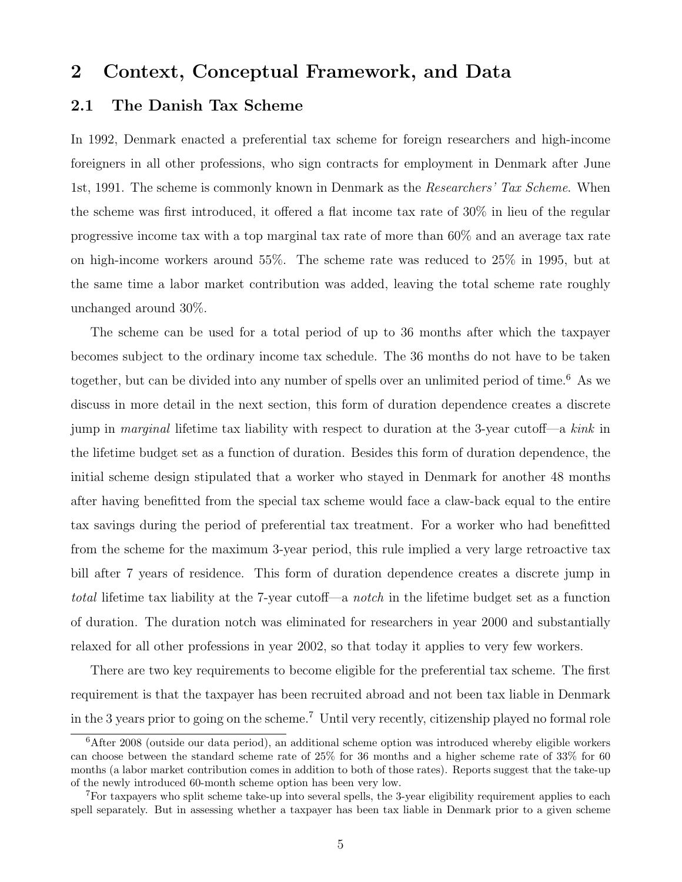# 2 Context, Conceptual Framework, and Data

### 2.1 The Danish Tax Scheme

In 1992, Denmark enacted a preferential tax scheme for foreign researchers and high-income foreigners in all other professions, who sign contracts for employment in Denmark after June 1st, 1991. The scheme is commonly known in Denmark as the *Researchers' Tax Scheme*. When the scheme was first introduced, it offered a flat income tax rate of 30% in lieu of the regular progressive income tax with a top marginal tax rate of more than 60% and an average tax rate on high-income workers around 55%. The scheme rate was reduced to 25% in 1995, but at the same time a labor market contribution was added, leaving the total scheme rate roughly unchanged around 30%.

The scheme can be used for a total period of up to 36 months after which the taxpayer becomes subject to the ordinary income tax schedule. The 36 months do not have to be taken together, but can be divided into any number of spells over an unlimited period of time.<sup>6</sup> As we discuss in more detail in the next section, this form of duration dependence creates a discrete jump in *marginal* lifetime tax liability with respect to duration at the 3-year cutof- $a$  kink in the lifetime budget set as a function of duration. Besides this form of duration dependence, the initial scheme design stipulated that a worker who stayed in Denmark for another 48 months after having benefitted from the special tax scheme would face a claw-back equal to the entire tax savings during the period of preferential tax treatment. For a worker who had benefitted from the scheme for the maximum 3-year period, this rule implied a very large retroactive tax bill after 7 years of residence. This form of duration dependence creates a discrete jump in total lifetime tax liability at the 7-year cutoff—a notch in the lifetime budget set as a function of duration. The duration notch was eliminated for researchers in year 2000 and substantially relaxed for all other professions in year 2002, so that today it applies to very few workers.

There are two key requirements to become eligible for the preferential tax scheme. The first requirement is that the taxpayer has been recruited abroad and not been tax liable in Denmark in the 3 years prior to going on the scheme.<sup>7</sup> Until very recently, citizenship played no formal role

 $6$ After 2008 (outside our data period), an additional scheme option was introduced whereby eligible workers can choose between the standard scheme rate of 25% for 36 months and a higher scheme rate of 33% for 60 months (a labor market contribution comes in addition to both of those rates). Reports suggest that the take-up of the newly introduced 60-month scheme option has been very low.

<sup>7</sup>For taxpayers who split scheme take-up into several spells, the 3-year eligibility requirement applies to each spell separately. But in assessing whether a taxpayer has been tax liable in Denmark prior to a given scheme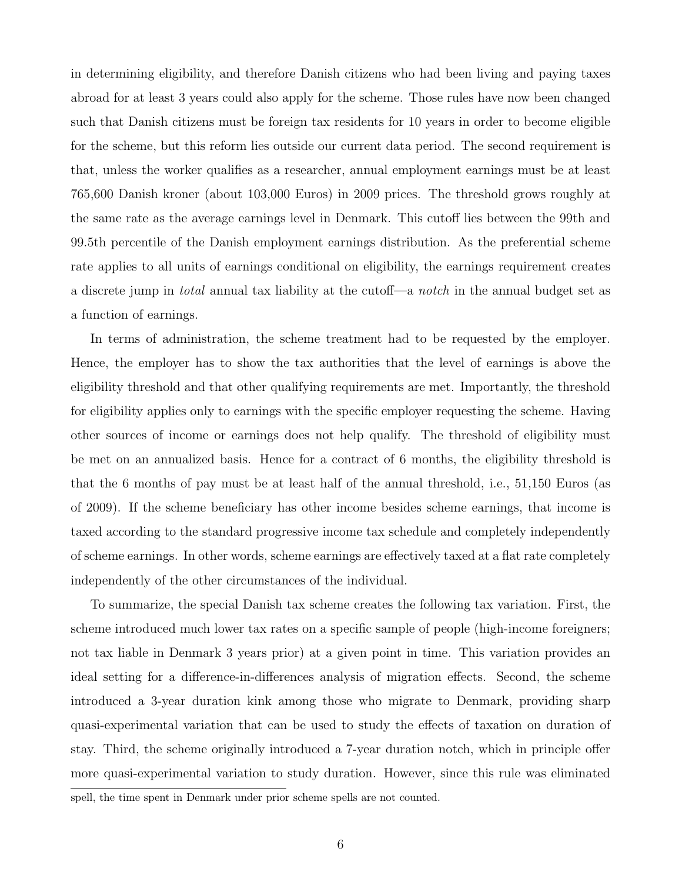in determining eligibility, and therefore Danish citizens who had been living and paying taxes abroad for at least 3 years could also apply for the scheme. Those rules have now been changed such that Danish citizens must be foreign tax residents for 10 years in order to become eligible for the scheme, but this reform lies outside our current data period. The second requirement is that, unless the worker qualifies as a researcher, annual employment earnings must be at least 765,600 Danish kroner (about 103,000 Euros) in 2009 prices. The threshold grows roughly at the same rate as the average earnings level in Denmark. This cutoff lies between the 99th and 99.5th percentile of the Danish employment earnings distribution. As the preferential scheme rate applies to all units of earnings conditional on eligibility, the earnings requirement creates a discrete jump in *total* annual tax liability at the cutof-a *notch* in the annual budget set as a function of earnings.

In terms of administration, the scheme treatment had to be requested by the employer. Hence, the employer has to show the tax authorities that the level of earnings is above the eligibility threshold and that other qualifying requirements are met. Importantly, the threshold for eligibility applies only to earnings with the specific employer requesting the scheme. Having other sources of income or earnings does not help qualify. The threshold of eligibility must be met on an annualized basis. Hence for a contract of 6 months, the eligibility threshold is that the 6 months of pay must be at least half of the annual threshold, i.e., 51,150 Euros (as of 2009). If the scheme beneficiary has other income besides scheme earnings, that income is taxed according to the standard progressive income tax schedule and completely independently of scheme earnings. In other words, scheme earnings are effectively taxed at a flat rate completely independently of the other circumstances of the individual.

To summarize, the special Danish tax scheme creates the following tax variation. First, the scheme introduced much lower tax rates on a specific sample of people (high-income foreigners; not tax liable in Denmark 3 years prior) at a given point in time. This variation provides an ideal setting for a difference-in-differences analysis of migration effects. Second, the scheme introduced a 3-year duration kink among those who migrate to Denmark, providing sharp quasi-experimental variation that can be used to study the effects of taxation on duration of stay. Third, the scheme originally introduced a 7-year duration notch, which in principle offer more quasi-experimental variation to study duration. However, since this rule was eliminated

spell, the time spent in Denmark under prior scheme spells are not counted.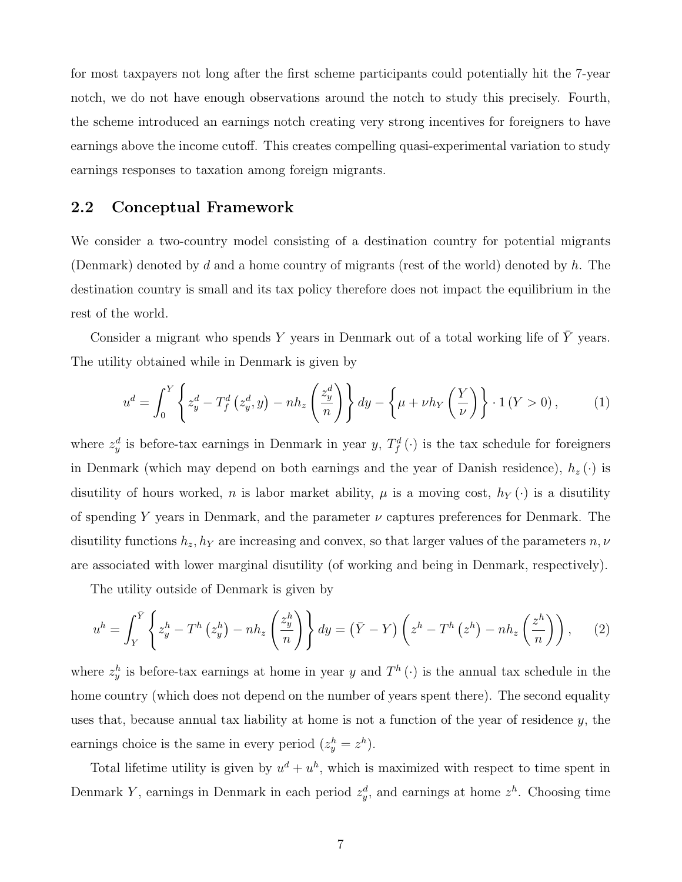for most taxpayers not long after the first scheme participants could potentially hit the 7-year notch, we do not have enough observations around the notch to study this precisely. Fourth, the scheme introduced an earnings notch creating very strong incentives for foreigners to have earnings above the income cutoff. This creates compelling quasi-experimental variation to study earnings responses to taxation among foreign migrants.

### 2.2 Conceptual Framework

We consider a two-country model consisting of a destination country for potential migrants (Denmark) denoted by d and a home country of migrants (rest of the world) denoted by  $h$ . The destination country is small and its tax policy therefore does not impact the equilibrium in the rest of the world.

Consider a migrant who spends  $Y$  years in Denmark out of a total working life of  $\bar{Y}$  years. The utility obtained while in Denmark is given by

$$
u^d = \int_0^Y \left\{ z_y^d - T_f^d \left( z_y^d, y \right) - nh_z \left( \frac{z_y^d}{n} \right) \right\} dy - \left\{ \mu + \nu h_Y \left( \frac{Y}{\nu} \right) \right\} \cdot 1 \left( Y > 0 \right), \tag{1}
$$

where  $z_y^d$  is before-tax earnings in Denmark in year y,  $T_f^d(\cdot)$  is the tax schedule for foreigners in Denmark (which may depend on both earnings and the year of Danish residence),  $h_z(\cdot)$  is disutility of hours worked, n is labor market ability,  $\mu$  is a moving cost,  $h_Y(\cdot)$  is a disutility of spending Y years in Denmark, and the parameter  $\nu$  captures preferences for Denmark. The disutility functions  $h_z, h_y$  are increasing and convex, so that larger values of the parameters  $n, \nu$ are associated with lower marginal disutility (of working and being in Denmark, respectively).

The utility outside of Denmark is given by

$$
u^{h} = \int_{Y}^{\bar{Y}} \left\{ z_{y}^{h} - T^{h} \left( z_{y}^{h} \right) - nh_{z} \left( \frac{z_{y}^{h}}{n} \right) \right\} dy = \left( \bar{Y} - Y \right) \left( z^{h} - T^{h} \left( z^{h} \right) - nh_{z} \left( \frac{z^{h}}{n} \right) \right), \tag{2}
$$

where  $z_y^h$  is before-tax earnings at home in year y and  $T^h(\cdot)$  is the annual tax schedule in the home country (which does not depend on the number of years spent there). The second equality uses that, because annual tax liability at home is not a function of the year of residence  $y$ , the earnings choice is the same in every period  $(z_y^h = z^h)$ .

Total lifetime utility is given by  $u^d + u^h$ , which is maximized with respect to time spent in Denmark Y, earnings in Denmark in each period  $z_y^d$ , and earnings at home  $z^h$ . Choosing time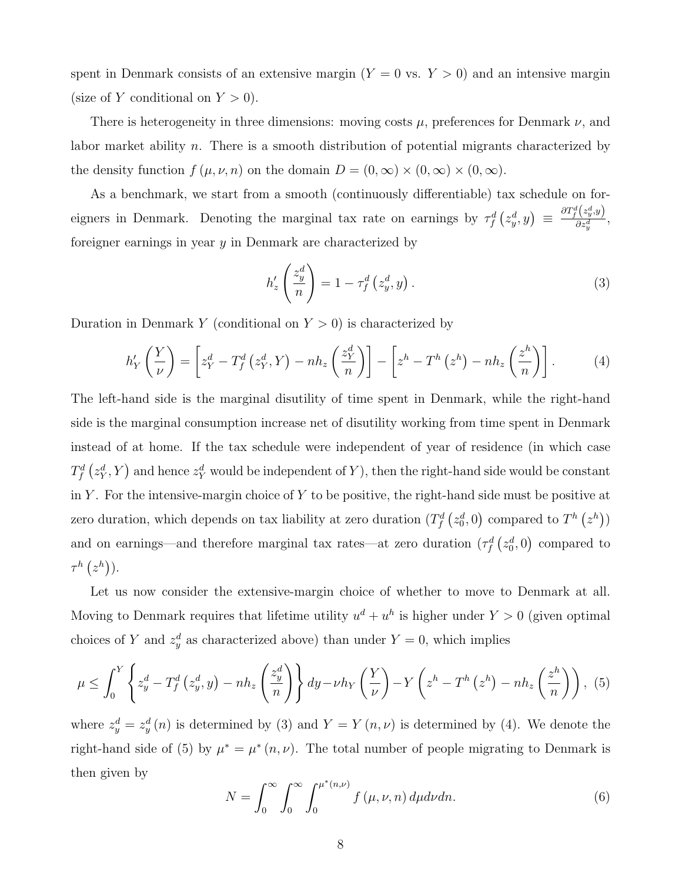spent in Denmark consists of an extensive margin  $(Y = 0 \text{ vs. } Y > 0)$  and an intensive margin (size of Y conditional on  $Y > 0$ ).

There is heterogeneity in three dimensions: moving costs  $\mu$ , preferences for Denmark  $\nu$ , and labor market ability n. There is a smooth distribution of potential migrants characterized by the density function  $f(\mu, \nu, n)$  on the domain  $D = (0, \infty) \times (0, \infty) \times (0, \infty)$ .

As a benchmark, we start from a smooth (continuously differentiable) tax schedule on foreigners in Denmark. Denoting the marginal tax rate on earnings by  $\tau_f^d(z_y^d, y) \equiv \frac{\partial T_f^d(z_y^d, y)}{\partial z_y^d}$  $\frac{(\frac{\kappa_y, g}{\partial z_y^d})}{\delta z_y^d},$ foreigner earnings in year y in Denmark are characterized by

$$
h'_{z}\left(\frac{z_y^d}{n}\right) = 1 - \tau_f^d\left(z_y^d, y\right). \tag{3}
$$

Duration in Denmark Y (conditional on  $Y > 0$ ) is characterized by

$$
h'_{Y}\left(\frac{Y}{\nu}\right) = \left[z_{Y}^{d} - T_{f}^{d}\left(z_{Y}^{d}, Y\right) - nh_{z}\left(\frac{z_{Y}^{d}}{n}\right)\right] - \left[z^{h} - T^{h}\left(z^{h}\right) - nh_{z}\left(\frac{z^{h}}{n}\right)\right].
$$
 (4)

The left-hand side is the marginal disutility of time spent in Denmark, while the right-hand side is the marginal consumption increase net of disutility working from time spent in Denmark instead of at home. If the tax schedule were independent of year of residence (in which case  $T^d_f\left(z^d_Y,Y\right)$  and hence  $z^d_Y$  would be independent of  $Y$ ), then the right-hand side would be constant in Y. For the intensive-margin choice of Y to be positive, the right-hand side must be positive at zero duration, which depends on tax liability at zero duration  $(T_f^d(z_0^d, 0)$  compared to  $T^h(z^h)$ ) and on earnings—and therefore marginal tax rates—at zero duration  $(\tau_f^d(z_0^d, 0)$  compared to  $\tau^h\left(z^h\right)).$ 

Let us now consider the extensive-margin choice of whether to move to Denmark at all. Moving to Denmark requires that lifetime utility  $u^d + u^h$  is higher under  $Y > 0$  (given optimal choices of Y and  $z_y^d$  as characterized above) than under  $Y = 0$ , which implies

$$
\mu \leq \int_0^Y \left\{ z_y^d - T_f^d \left( z_y^d, y \right) - nh_z \left( \frac{z_y^d}{n} \right) \right\} dy - \nu h_Y \left( \frac{Y}{\nu} \right) - Y \left( z^h - T^h \left( z^h \right) - nh_z \left( \frac{z^h}{n} \right) \right), \tag{5}
$$

where  $z_y^d = z_y^d(n)$  is determined by (3) and  $Y = Y(n, \nu)$  is determined by (4). We denote the right-hand side of (5) by  $\mu^* = \mu^*(n, \nu)$ . The total number of people migrating to Denmark is then given by

$$
N = \int_0^\infty \int_0^\infty \int_0^{\mu^*(n,\nu)} f(\mu,\nu,n) d\mu d\nu dn.
$$
 (6)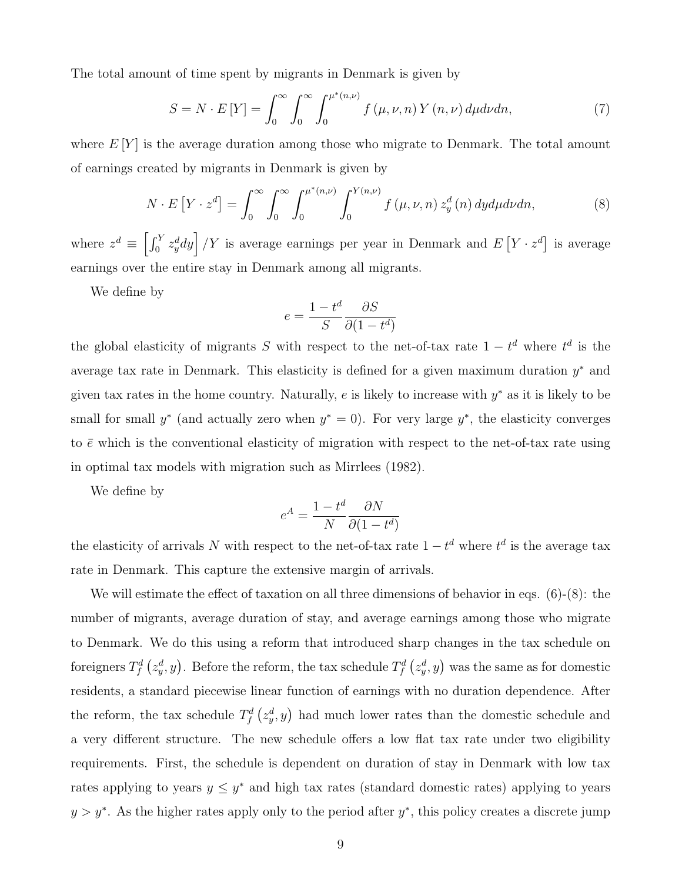The total amount of time spent by migrants in Denmark is given by

$$
S = N \cdot E[Y] = \int_0^\infty \int_0^\infty \int_0^{\mu^*(n,\nu)} f(\mu,\nu,n) Y(n,\nu) d\mu d\nu dn,\tag{7}
$$

where  $E[Y]$  is the average duration among those who migrate to Denmark. The total amount of earnings created by migrants in Denmark is given by

$$
N \cdot E\left[Y \cdot z^d\right] = \int_0^\infty \int_0^\infty \int_0^{\mu^*(n,\nu)} \int_0^{Y(n,\nu)} f\left(\mu, \nu, n\right) z_y^d(n) \, dy d\mu d\nu n,\tag{8}
$$

where  $z^d \equiv \left[\int_0^Y z_y^d dy\right] / Y$  is average earnings per year in Denmark and  $E[Y \cdot z^d]$  is average earnings over the entire stay in Denmark among all migrants.

We define by

$$
e = \frac{1 - t^d}{S} \frac{\partial S}{\partial (1 - t^d)}
$$

the global elasticity of migrants S with respect to the net-of-tax rate  $1-t^d$  where  $t^d$  is the average tax rate in Denmark. This elasticity is defined for a given maximum duration  $y^*$  and given tax rates in the home country. Naturally,  $e$  is likely to increase with  $y^*$  as it is likely to be small for small  $y^*$  (and actually zero when  $y^* = 0$ ). For very large  $y^*$ , the elasticity converges to  $\bar{e}$  which is the conventional elasticity of migration with respect to the net-of-tax rate using in optimal tax models with migration such as Mirrlees (1982).

We define by

$$
e^{A} = \frac{1 - t^{d}}{N} \frac{\partial N}{\partial (1 - t^{d})}
$$

the elasticity of arrivals N with respect to the net-of-tax rate  $1-t^d$  where  $t^d$  is the average tax rate in Denmark. This capture the extensive margin of arrivals.

We will estimate the effect of taxation on all three dimensions of behavior in eqs.  $(6)-(8)$ : the number of migrants, average duration of stay, and average earnings among those who migrate to Denmark. We do this using a reform that introduced sharp changes in the tax schedule on foreigners  $T_f^d\left(z^d_y,y\right)$ . Before the reform, the tax schedule  $T_f^d\left(z^d_y,y\right)$  was the same as for domestic residents, a standard piecewise linear function of earnings with no duration dependence. After the reform, the tax schedule  $T_f^d(z_y^d, y)$  had much lower rates than the domestic schedule and a very different structure. The new schedule offers a low flat tax rate under two eligibility requirements. First, the schedule is dependent on duration of stay in Denmark with low tax rates applying to years  $y \leq y^*$  and high tax rates (standard domestic rates) applying to years  $y > y^*$ . As the higher rates apply only to the period after  $y^*$ , this policy creates a discrete jump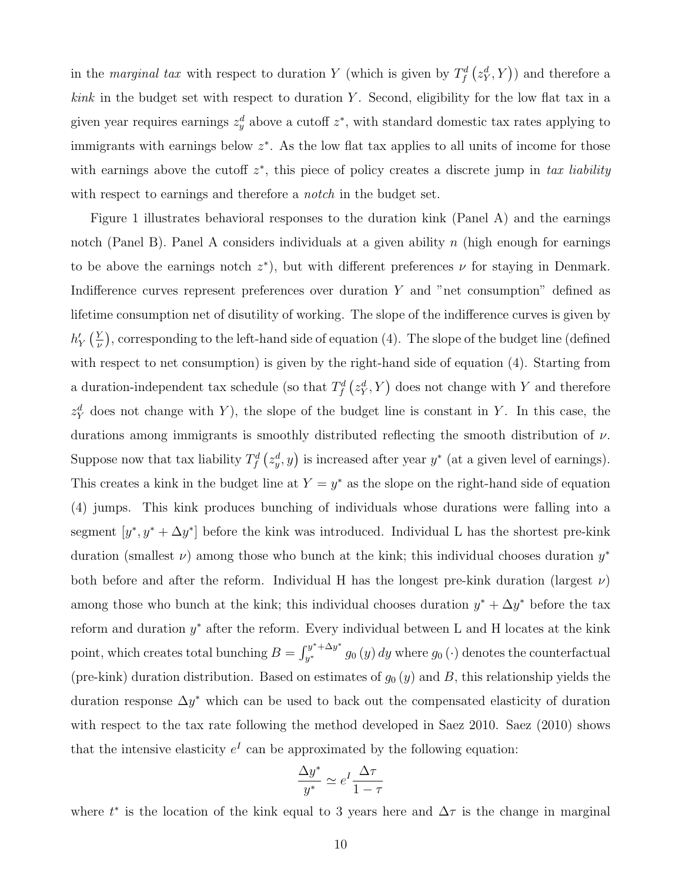in the marginal tax with respect to duration Y (which is given by  $T_f^d(z_Y^d, Y)$ ) and therefore a  $kink$  in the budget set with respect to duration Y. Second, eligibility for the low flat tax in a given year requires earnings  $z_y^d$  above a cutoff  $z^*$ , with standard domestic tax rates applying to immigrants with earnings below  $z^*$ . As the low flat tax applies to all units of income for those with earnings above the cutoff  $z^*$ , this piece of policy creates a discrete jump in tax liability with respect to earnings and therefore a *notch* in the budget set.

Figure 1 illustrates behavioral responses to the duration kink (Panel A) and the earnings notch (Panel B). Panel A considers individuals at a given ability  $n$  (high enough for earnings to be above the earnings notch  $z^*$ ), but with different preferences  $\nu$  for staying in Denmark. Indifference curves represent preferences over duration  $Y$  and "net consumption" defined as lifetime consumption net of disutility of working. The slope of the indifference curves is given by  $h_Y'\left(\frac{Y}{\nu}\right)$  $\frac{Y}{\nu}$ ), corresponding to the left-hand side of equation (4). The slope of the budget line (defined with respect to net consumption) is given by the right-hand side of equation (4). Starting from a duration-independent tax schedule (so that  $T_f^d(z_Y^d, Y)$  does not change with Y and therefore  $z_Y^d$  does not change with Y), the slope of the budget line is constant in Y. In this case, the durations among immigrants is smoothly distributed reflecting the smooth distribution of  $\nu$ . Suppose now that tax liability  $T_f^d(z_y^d, y)$  is increased after year  $y^*$  (at a given level of earnings). This creates a kink in the budget line at  $Y = y^*$  as the slope on the right-hand side of equation (4) jumps. This kink produces bunching of individuals whose durations were falling into a segment  $[y^*, y^* + \Delta y^*]$  before the kink was introduced. Individual L has the shortest pre-kink duration (smallest  $\nu$ ) among those who bunch at the kink; this individual chooses duration  $y^*$ both before and after the reform. Individual H has the longest pre-kink duration (largest  $\nu$ ) among those who bunch at the kink; this individual chooses duration  $y^* + \Delta y^*$  before the tax reform and duration  $y^*$  after the reform. Every individual between L and H locates at the kink point, which creates total bunching  $B = \int_{y^*}^{y^* + \Delta y^*}$  $y^{y^*+ \Delta y^*}_{y^*}$  g<sub>0</sub> (y) dy where  $g_0(\cdot)$  denotes the counterfactual (pre-kink) duration distribution. Based on estimates of  $g_0(y)$  and B, this relationship yields the duration response  $\Delta y^*$  which can be used to back out the compensated elasticity of duration with respect to the tax rate following the method developed in Saez 2010. Saez (2010) shows that the intensive elasticity  $e^I$  can be approximated by the following equation:

$$
\frac{\Delta y^*}{y^*} \simeq e^I \frac{\Delta \tau}{1 - \tau}
$$

where  $t^*$  is the location of the kink equal to 3 years here and  $\Delta \tau$  is the change in marginal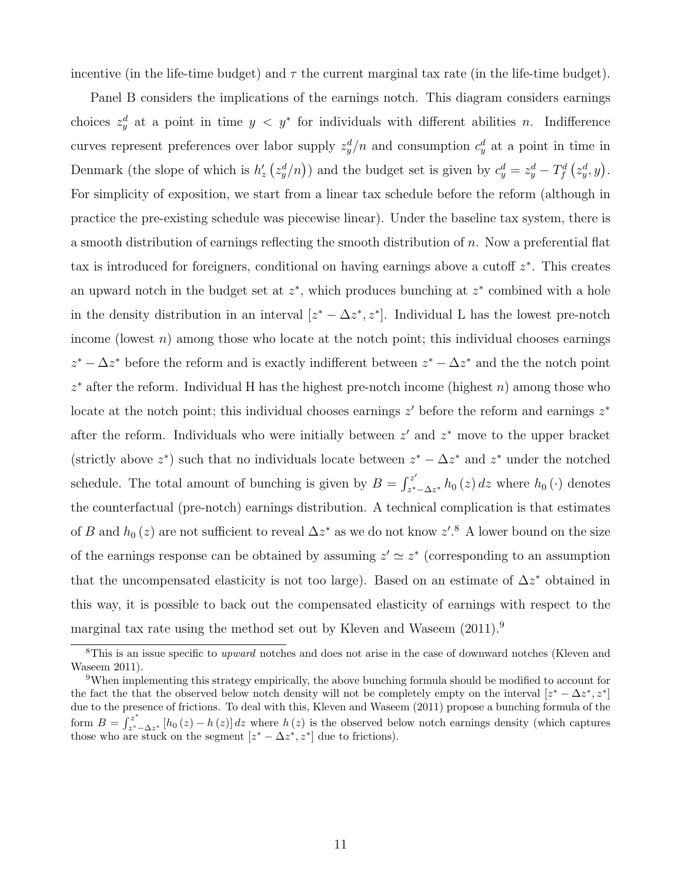incentive (in the life-time budget) and  $\tau$  the current marginal tax rate (in the life-time budget).

Panel B considers the implications of the earnings notch. This diagram considers earnings choices  $z_y^d$  at a point in time  $y < y^*$  for individuals with different abilities n. Indifference curves represent preferences over labor supply  $z_y^d/n$  and consumption  $c_y^d$  at a point in time in Denmark (the slope of which is  $h'_z(z_y^d/n)$ ) and the budget set is given by  $c_y^d = z_y^d - T_f^d(z_y^d, y)$ . For simplicity of exposition, we start from a linear tax schedule before the reform (although in practice the pre-existing schedule was piecewise linear). Under the baseline tax system, there is a smooth distribution of earnings reflecting the smooth distribution of n. Now a preferential flat tax is introduced for foreigners, conditional on having earnings above a cutoff  $z^*$ . This creates an upward notch in the budget set at  $z^*$ , which produces bunching at  $z^*$  combined with a hole in the density distribution in an interval  $[z^* - \Delta z^*, z^*]$ . Individual L has the lowest pre-notch income (lowest  $n$ ) among those who locate at the notch point; this individual chooses earnings  $z^* - \Delta z^*$  before the reform and is exactly indifferent between  $z^* - \Delta z^*$  and the the notch point  $z^*$  after the reform. Individual H has the highest pre-notch income (highest  $n$ ) among those who locate at the notch point; this individual chooses earnings  $z'$  before the reform and earnings  $z^*$ after the reform. Individuals who were initially between  $z'$  and  $z^*$  move to the upper bracket (strictly above  $z^*$ ) such that no individuals locate between  $z^* - \Delta z^*$  and  $z^*$  under the notched schedule. The total amount of bunching is given by  $B = \int_{\gamma^*}^{z'}$  $\sum_{z^*-\Delta z^*} h_0(z) dz$  where  $h_0(\cdot)$  denotes the counterfactual (pre-notch) earnings distribution. A technical complication is that estimates of B and  $h_0(z)$  are not sufficient to reveal  $\Delta z^*$  as we do not know  $z'.^8$  A lower bound on the size of the earnings response can be obtained by assuming  $z' \simeq z^*$  (corresponding to an assumption that the uncompensated elasticity is not too large). Based on an estimate of  $\Delta z^*$  obtained in this way, it is possible to back out the compensated elasticity of earnings with respect to the marginal tax rate using the method set out by Kleven and Waseem  $(2011).<sup>9</sup>$ 

<sup>&</sup>lt;sup>8</sup>This is an issue specific to *upward* notches and does not arise in the case of downward notches (Kleven and Waseem 2011).

<sup>9</sup>When implementing this strategy empirically, the above bunching formula should be modified to account for the fact the that the observed below notch density will not be completely empty on the interval  $[z^* - \Delta z^*, z^*]$ due to the presence of frictions. To deal with this, Kleven and Waseem (2011) propose a bunching formula of the form  $B = \int_{\gamma^*}^{z^*}$ <sup>2</sup><sub>z\*</sub> –  $\Delta z$ <sup>\*</sup> [h<sub>0</sub> (z) – h (z)] dz where h (z) is the observed below notch earnings density (which captures those who are stuck on the segment  $[z^* - \Delta z^*, z^*]$  due to frictions).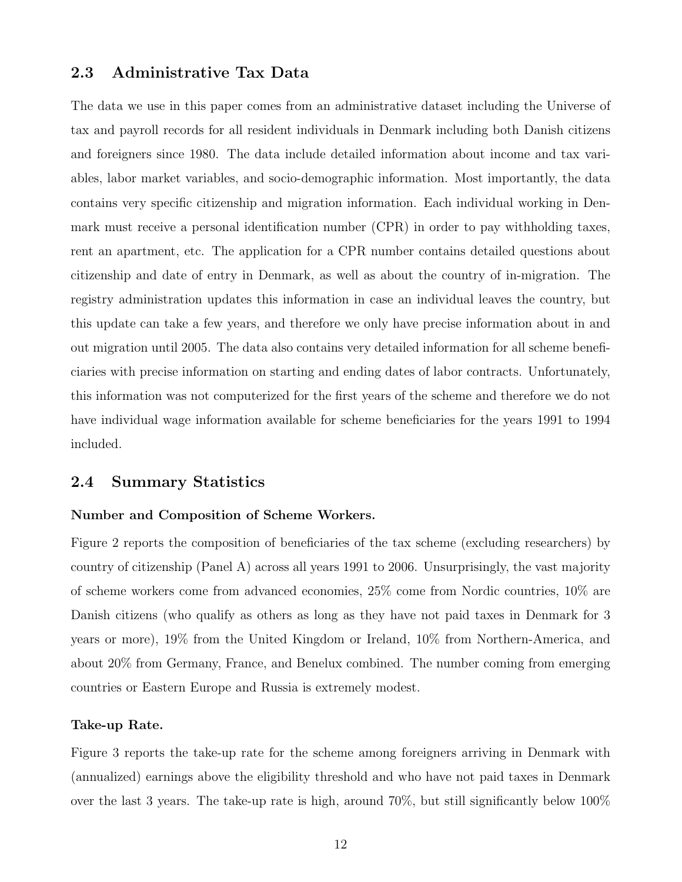### 2.3 Administrative Tax Data

The data we use in this paper comes from an administrative dataset including the Universe of tax and payroll records for all resident individuals in Denmark including both Danish citizens and foreigners since 1980. The data include detailed information about income and tax variables, labor market variables, and socio-demographic information. Most importantly, the data contains very specific citizenship and migration information. Each individual working in Denmark must receive a personal identification number (CPR) in order to pay withholding taxes, rent an apartment, etc. The application for a CPR number contains detailed questions about citizenship and date of entry in Denmark, as well as about the country of in-migration. The registry administration updates this information in case an individual leaves the country, but this update can take a few years, and therefore we only have precise information about in and out migration until 2005. The data also contains very detailed information for all scheme beneficiaries with precise information on starting and ending dates of labor contracts. Unfortunately, this information was not computerized for the first years of the scheme and therefore we do not have individual wage information available for scheme beneficiaries for the years 1991 to 1994 included.

### 2.4 Summary Statistics

### Number and Composition of Scheme Workers.

Figure 2 reports the composition of beneficiaries of the tax scheme (excluding researchers) by country of citizenship (Panel A) across all years 1991 to 2006. Unsurprisingly, the vast majority of scheme workers come from advanced economies, 25% come from Nordic countries, 10% are Danish citizens (who qualify as others as long as they have not paid taxes in Denmark for 3 years or more), 19% from the United Kingdom or Ireland, 10% from Northern-America, and about 20% from Germany, France, and Benelux combined. The number coming from emerging countries or Eastern Europe and Russia is extremely modest.

### Take-up Rate.

Figure 3 reports the take-up rate for the scheme among foreigners arriving in Denmark with (annualized) earnings above the eligibility threshold and who have not paid taxes in Denmark over the last 3 years. The take-up rate is high, around 70%, but still significantly below 100%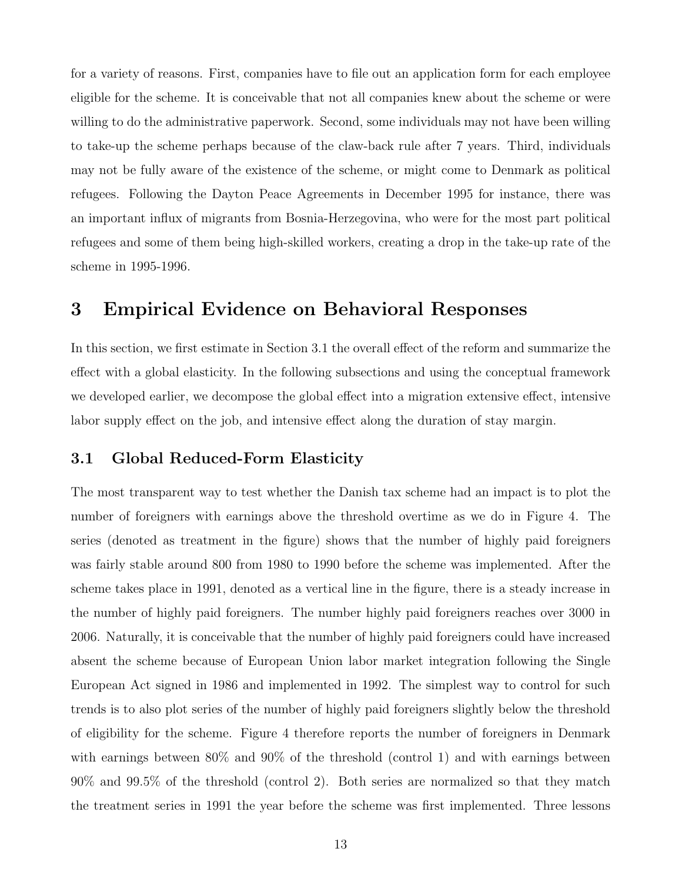for a variety of reasons. First, companies have to file out an application form for each employee eligible for the scheme. It is conceivable that not all companies knew about the scheme or were willing to do the administrative paperwork. Second, some individuals may not have been willing to take-up the scheme perhaps because of the claw-back rule after 7 years. Third, individuals may not be fully aware of the existence of the scheme, or might come to Denmark as political refugees. Following the Dayton Peace Agreements in December 1995 for instance, there was an important influx of migrants from Bosnia-Herzegovina, who were for the most part political refugees and some of them being high-skilled workers, creating a drop in the take-up rate of the scheme in 1995-1996.

# 3 Empirical Evidence on Behavioral Responses

In this section, we first estimate in Section 3.1 the overall effect of the reform and summarize the effect with a global elasticity. In the following subsections and using the conceptual framework we developed earlier, we decompose the global effect into a migration extensive effect, intensive labor supply effect on the job, and intensive effect along the duration of stay margin.

### 3.1 Global Reduced-Form Elasticity

The most transparent way to test whether the Danish tax scheme had an impact is to plot the number of foreigners with earnings above the threshold overtime as we do in Figure 4. The series (denoted as treatment in the figure) shows that the number of highly paid foreigners was fairly stable around 800 from 1980 to 1990 before the scheme was implemented. After the scheme takes place in 1991, denoted as a vertical line in the figure, there is a steady increase in the number of highly paid foreigners. The number highly paid foreigners reaches over 3000 in 2006. Naturally, it is conceivable that the number of highly paid foreigners could have increased absent the scheme because of European Union labor market integration following the Single European Act signed in 1986 and implemented in 1992. The simplest way to control for such trends is to also plot series of the number of highly paid foreigners slightly below the threshold of eligibility for the scheme. Figure 4 therefore reports the number of foreigners in Denmark with earnings between  $80\%$  and  $90\%$  of the threshold (control 1) and with earnings between 90% and 99.5% of the threshold (control 2). Both series are normalized so that they match the treatment series in 1991 the year before the scheme was first implemented. Three lessons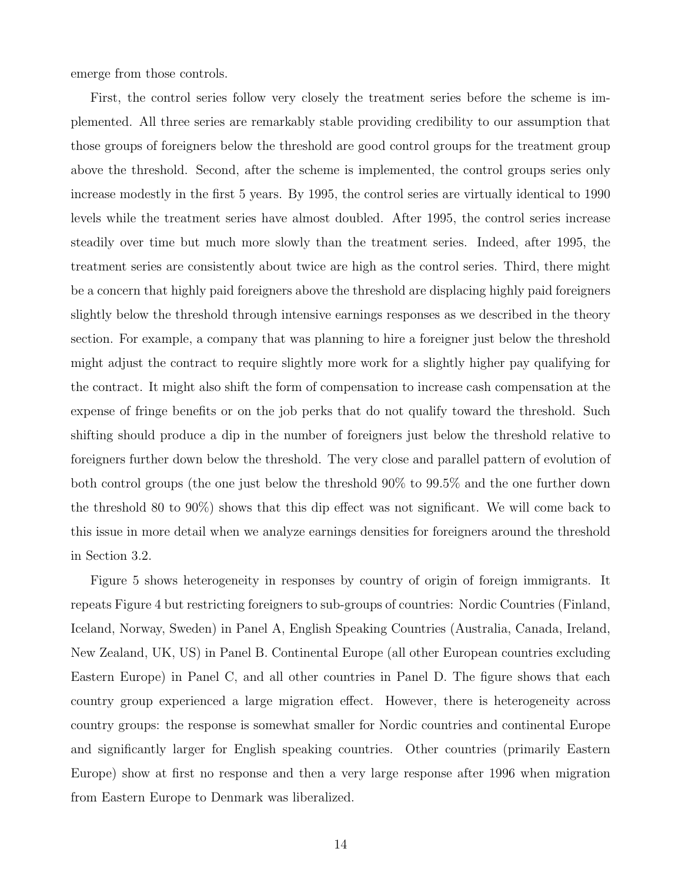emerge from those controls.

First, the control series follow very closely the treatment series before the scheme is implemented. All three series are remarkably stable providing credibility to our assumption that those groups of foreigners below the threshold are good control groups for the treatment group above the threshold. Second, after the scheme is implemented, the control groups series only increase modestly in the first 5 years. By 1995, the control series are virtually identical to 1990 levels while the treatment series have almost doubled. After 1995, the control series increase steadily over time but much more slowly than the treatment series. Indeed, after 1995, the treatment series are consistently about twice are high as the control series. Third, there might be a concern that highly paid foreigners above the threshold are displacing highly paid foreigners slightly below the threshold through intensive earnings responses as we described in the theory section. For example, a company that was planning to hire a foreigner just below the threshold might adjust the contract to require slightly more work for a slightly higher pay qualifying for the contract. It might also shift the form of compensation to increase cash compensation at the expense of fringe benefits or on the job perks that do not qualify toward the threshold. Such shifting should produce a dip in the number of foreigners just below the threshold relative to foreigners further down below the threshold. The very close and parallel pattern of evolution of both control groups (the one just below the threshold 90% to 99.5% and the one further down the threshold 80 to 90%) shows that this dip effect was not significant. We will come back to this issue in more detail when we analyze earnings densities for foreigners around the threshold in Section 3.2.

Figure 5 shows heterogeneity in responses by country of origin of foreign immigrants. It repeats Figure 4 but restricting foreigners to sub-groups of countries: Nordic Countries (Finland, Iceland, Norway, Sweden) in Panel A, English Speaking Countries (Australia, Canada, Ireland, New Zealand, UK, US) in Panel B. Continental Europe (all other European countries excluding Eastern Europe) in Panel C, and all other countries in Panel D. The figure shows that each country group experienced a large migration effect. However, there is heterogeneity across country groups: the response is somewhat smaller for Nordic countries and continental Europe and significantly larger for English speaking countries. Other countries (primarily Eastern Europe) show at first no response and then a very large response after 1996 when migration from Eastern Europe to Denmark was liberalized.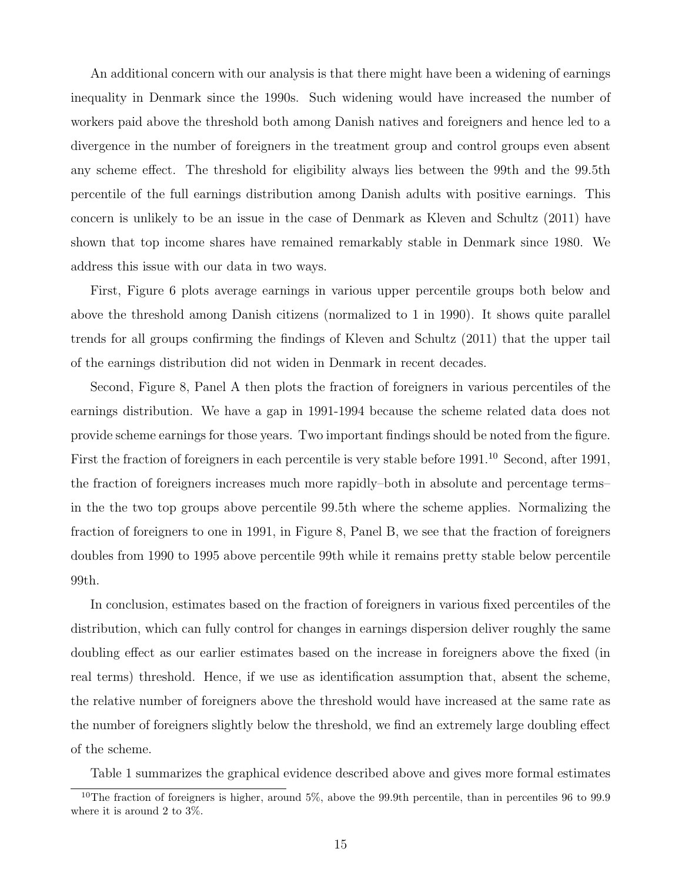An additional concern with our analysis is that there might have been a widening of earnings inequality in Denmark since the 1990s. Such widening would have increased the number of workers paid above the threshold both among Danish natives and foreigners and hence led to a divergence in the number of foreigners in the treatment group and control groups even absent any scheme effect. The threshold for eligibility always lies between the 99th and the 99.5th percentile of the full earnings distribution among Danish adults with positive earnings. This concern is unlikely to be an issue in the case of Denmark as Kleven and Schultz (2011) have shown that top income shares have remained remarkably stable in Denmark since 1980. We address this issue with our data in two ways.

First, Figure 6 plots average earnings in various upper percentile groups both below and above the threshold among Danish citizens (normalized to 1 in 1990). It shows quite parallel trends for all groups confirming the findings of Kleven and Schultz (2011) that the upper tail of the earnings distribution did not widen in Denmark in recent decades.

Second, Figure 8, Panel A then plots the fraction of foreigners in various percentiles of the earnings distribution. We have a gap in 1991-1994 because the scheme related data does not provide scheme earnings for those years. Two important findings should be noted from the figure. First the fraction of foreigners in each percentile is very stable before 1991.<sup>10</sup> Second, after 1991, the fraction of foreigners increases much more rapidly–both in absolute and percentage terms– in the the two top groups above percentile 99.5th where the scheme applies. Normalizing the fraction of foreigners to one in 1991, in Figure 8, Panel B, we see that the fraction of foreigners doubles from 1990 to 1995 above percentile 99th while it remains pretty stable below percentile 99th.

In conclusion, estimates based on the fraction of foreigners in various fixed percentiles of the distribution, which can fully control for changes in earnings dispersion deliver roughly the same doubling effect as our earlier estimates based on the increase in foreigners above the fixed (in real terms) threshold. Hence, if we use as identification assumption that, absent the scheme, the relative number of foreigners above the threshold would have increased at the same rate as the number of foreigners slightly below the threshold, we find an extremely large doubling effect of the scheme.

Table 1 summarizes the graphical evidence described above and gives more formal estimates

<sup>&</sup>lt;sup>10</sup>The fraction of foreigners is higher, around 5%, above the 99.9th percentile, than in percentiles 96 to 99.9 where it is around 2 to 3%.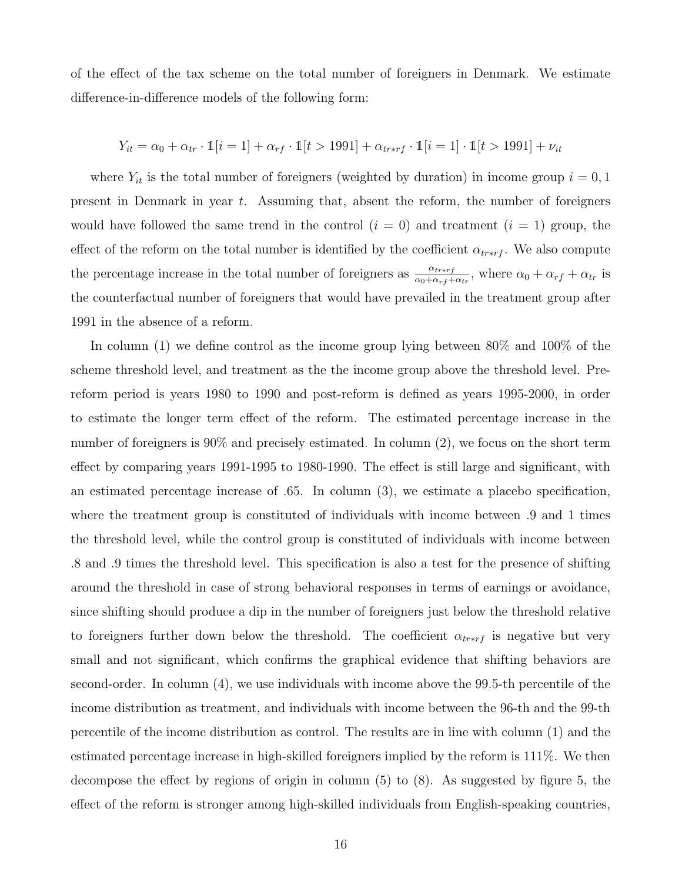of the effect of the tax scheme on the total number of foreigners in Denmark. We estimate difference-in-difference models of the following form:

$$
Y_{it} = \alpha_0 + \alpha_{tr} \cdot \mathbb{1}[i = 1] + \alpha_{rf} \cdot \mathbb{1}[t > 1991] + \alpha_{tr*rf} \cdot \mathbb{1}[i = 1] \cdot \mathbb{1}[t > 1991] + \nu_{it}
$$

where  $Y_{it}$  is the total number of foreigners (weighted by duration) in income group  $i = 0, 1$ present in Denmark in year t. Assuming that, absent the reform, the number of foreigners would have followed the same trend in the control  $(i = 0)$  and treatment  $(i = 1)$  group, the effect of the reform on the total number is identified by the coefficient  $\alpha_{tr*r}$ . We also compute the percentage increase in the total number of foreigners as  $\frac{\alpha_{tr*rf}}{\alpha_0 + \alpha_{rf} + \alpha_{tr}}$ , where  $\alpha_0 + \alpha_{rf} + \alpha_{tr}$  is the counterfactual number of foreigners that would have prevailed in the treatment group after 1991 in the absence of a reform.

In column (1) we define control as the income group lying between 80% and 100% of the scheme threshold level, and treatment as the the income group above the threshold level. Prereform period is years 1980 to 1990 and post-reform is defined as years 1995-2000, in order to estimate the longer term effect of the reform. The estimated percentage increase in the number of foreigners is 90% and precisely estimated. In column (2), we focus on the short term effect by comparing years 1991-1995 to 1980-1990. The effect is still large and significant, with an estimated percentage increase of .65. In column (3), we estimate a placebo specification, where the treatment group is constituted of individuals with income between .9 and 1 times the threshold level, while the control group is constituted of individuals with income between .8 and .9 times the threshold level. This specification is also a test for the presence of shifting around the threshold in case of strong behavioral responses in terms of earnings or avoidance, since shifting should produce a dip in the number of foreigners just below the threshold relative to foreigners further down below the threshold. The coefficient  $\alpha_{tr*rf}$  is negative but very small and not significant, which confirms the graphical evidence that shifting behaviors are second-order. In column (4), we use individuals with income above the 99.5-th percentile of the income distribution as treatment, and individuals with income between the 96-th and the 99-th percentile of the income distribution as control. The results are in line with column (1) and the estimated percentage increase in high-skilled foreigners implied by the reform is 111%. We then decompose the effect by regions of origin in column (5) to (8). As suggested by figure 5, the effect of the reform is stronger among high-skilled individuals from English-speaking countries,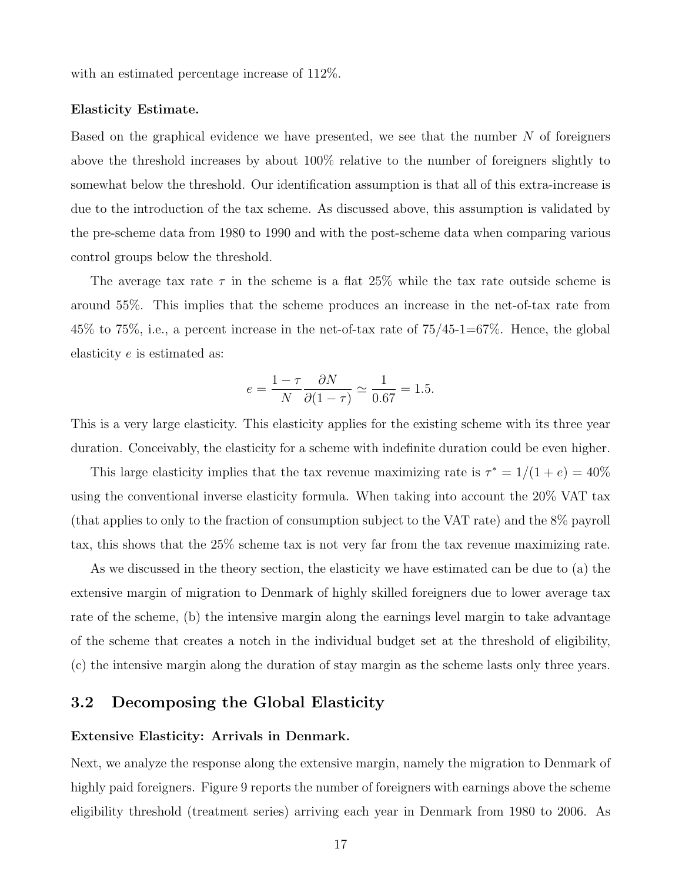with an estimated percentage increase of 112%.

#### Elasticity Estimate.

Based on the graphical evidence we have presented, we see that the number  $N$  of foreigners above the threshold increases by about 100% relative to the number of foreigners slightly to somewhat below the threshold. Our identification assumption is that all of this extra-increase is due to the introduction of the tax scheme. As discussed above, this assumption is validated by the pre-scheme data from 1980 to 1990 and with the post-scheme data when comparing various control groups below the threshold.

The average tax rate  $\tau$  in the scheme is a flat 25% while the tax rate outside scheme is around 55%. This implies that the scheme produces an increase in the net-of-tax rate from 45% to 75%, i.e., a percent increase in the net-of-tax rate of 75/45-1=67%. Hence, the global elasticity e is estimated as:

$$
e = \frac{1 - \tau}{N} \frac{\partial N}{\partial (1 - \tau)} \simeq \frac{1}{0.67} = 1.5.
$$

This is a very large elasticity. This elasticity applies for the existing scheme with its three year duration. Conceivably, the elasticity for a scheme with indefinite duration could be even higher.

This large elasticity implies that the tax revenue maximizing rate is  $\tau^* = 1/(1+e) = 40\%$ using the conventional inverse elasticity formula. When taking into account the 20% VAT tax (that applies to only to the fraction of consumption subject to the VAT rate) and the 8% payroll tax, this shows that the 25% scheme tax is not very far from the tax revenue maximizing rate.

As we discussed in the theory section, the elasticity we have estimated can be due to (a) the extensive margin of migration to Denmark of highly skilled foreigners due to lower average tax rate of the scheme, (b) the intensive margin along the earnings level margin to take advantage of the scheme that creates a notch in the individual budget set at the threshold of eligibility, (c) the intensive margin along the duration of stay margin as the scheme lasts only three years.

### 3.2 Decomposing the Global Elasticity

#### Extensive Elasticity: Arrivals in Denmark.

Next, we analyze the response along the extensive margin, namely the migration to Denmark of highly paid foreigners. Figure 9 reports the number of foreigners with earnings above the scheme eligibility threshold (treatment series) arriving each year in Denmark from 1980 to 2006. As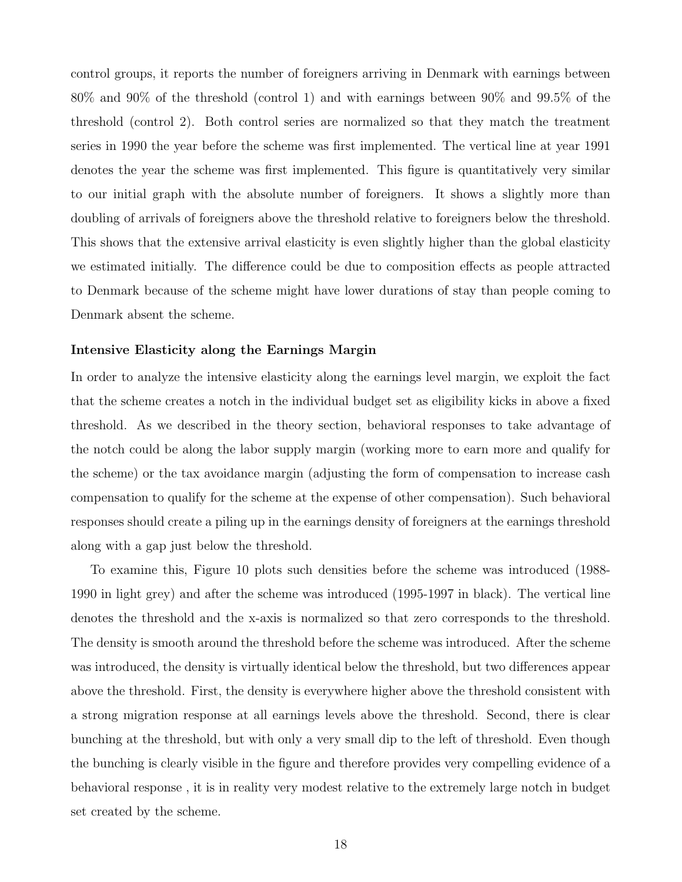control groups, it reports the number of foreigners arriving in Denmark with earnings between 80% and 90% of the threshold (control 1) and with earnings between 90% and 99.5% of the threshold (control 2). Both control series are normalized so that they match the treatment series in 1990 the year before the scheme was first implemented. The vertical line at year 1991 denotes the year the scheme was first implemented. This figure is quantitatively very similar to our initial graph with the absolute number of foreigners. It shows a slightly more than doubling of arrivals of foreigners above the threshold relative to foreigners below the threshold. This shows that the extensive arrival elasticity is even slightly higher than the global elasticity we estimated initially. The difference could be due to composition effects as people attracted to Denmark because of the scheme might have lower durations of stay than people coming to Denmark absent the scheme.

### Intensive Elasticity along the Earnings Margin

In order to analyze the intensive elasticity along the earnings level margin, we exploit the fact that the scheme creates a notch in the individual budget set as eligibility kicks in above a fixed threshold. As we described in the theory section, behavioral responses to take advantage of the notch could be along the labor supply margin (working more to earn more and qualify for the scheme) or the tax avoidance margin (adjusting the form of compensation to increase cash compensation to qualify for the scheme at the expense of other compensation). Such behavioral responses should create a piling up in the earnings density of foreigners at the earnings threshold along with a gap just below the threshold.

To examine this, Figure 10 plots such densities before the scheme was introduced (1988- 1990 in light grey) and after the scheme was introduced (1995-1997 in black). The vertical line denotes the threshold and the x-axis is normalized so that zero corresponds to the threshold. The density is smooth around the threshold before the scheme was introduced. After the scheme was introduced, the density is virtually identical below the threshold, but two differences appear above the threshold. First, the density is everywhere higher above the threshold consistent with a strong migration response at all earnings levels above the threshold. Second, there is clear bunching at the threshold, but with only a very small dip to the left of threshold. Even though the bunching is clearly visible in the figure and therefore provides very compelling evidence of a behavioral response , it is in reality very modest relative to the extremely large notch in budget set created by the scheme.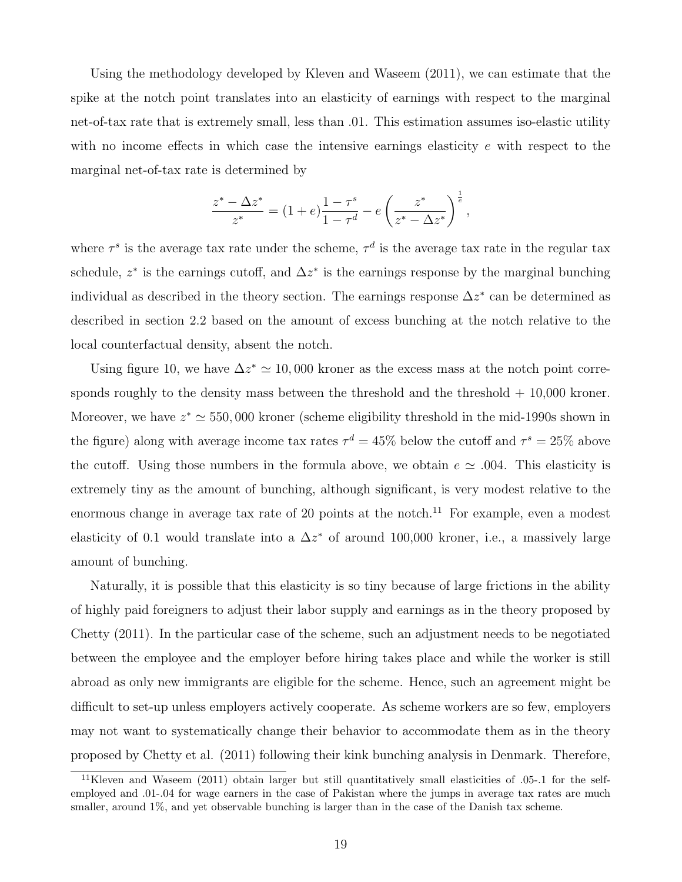Using the methodology developed by Kleven and Waseem (2011), we can estimate that the spike at the notch point translates into an elasticity of earnings with respect to the marginal net-of-tax rate that is extremely small, less than .01. This estimation assumes iso-elastic utility with no income effects in which case the intensive earnings elasticity  $e$  with respect to the marginal net-of-tax rate is determined by

$$
\frac{z^* - \Delta z^*}{z^*} = (1+e)\frac{1-\tau^s}{1-\tau^d} - e\left(\frac{z^*}{z^* - \Delta z^*}\right)^{\frac{1}{e}},
$$

where  $\tau^s$  is the average tax rate under the scheme,  $\tau^d$  is the average tax rate in the regular tax schedule,  $z^*$  is the earnings cutoff, and  $\Delta z^*$  is the earnings response by the marginal bunching individual as described in the theory section. The earnings response  $\Delta z^*$  can be determined as described in section 2.2 based on the amount of excess bunching at the notch relative to the local counterfactual density, absent the notch.

Using figure 10, we have  $\Delta z^* \simeq 10,000$  kroner as the excess mass at the notch point corresponds roughly to the density mass between the threshold and the threshold  $+ 10,000$  kroner. Moreover, we have  $z^* \simeq 550,000$  kroner (scheme eligibility threshold in the mid-1990s shown in the figure) along with average income tax rates  $\tau^d = 45\%$  below the cutoff and  $\tau^s = 25\%$  above the cutoff. Using those numbers in the formula above, we obtain  $e \simeq .004$ . This elasticity is extremely tiny as the amount of bunching, although significant, is very modest relative to the enormous change in average tax rate of 20 points at the notch.<sup>11</sup> For example, even a modest elasticity of 0.1 would translate into a  $\Delta z^*$  of around 100,000 kroner, i.e., a massively large amount of bunching.

Naturally, it is possible that this elasticity is so tiny because of large frictions in the ability of highly paid foreigners to adjust their labor supply and earnings as in the theory proposed by Chetty (2011). In the particular case of the scheme, such an adjustment needs to be negotiated between the employee and the employer before hiring takes place and while the worker is still abroad as only new immigrants are eligible for the scheme. Hence, such an agreement might be difficult to set-up unless employers actively cooperate. As scheme workers are so few, employers may not want to systematically change their behavior to accommodate them as in the theory proposed by Chetty et al. (2011) following their kink bunching analysis in Denmark. Therefore,

<sup>&</sup>lt;sup>11</sup>Kleven and Waseem (2011) obtain larger but still quantitatively small elasticities of .05-.1 for the selfemployed and .01-.04 for wage earners in the case of Pakistan where the jumps in average tax rates are much smaller, around  $1\%$ , and yet observable bunching is larger than in the case of the Danish tax scheme.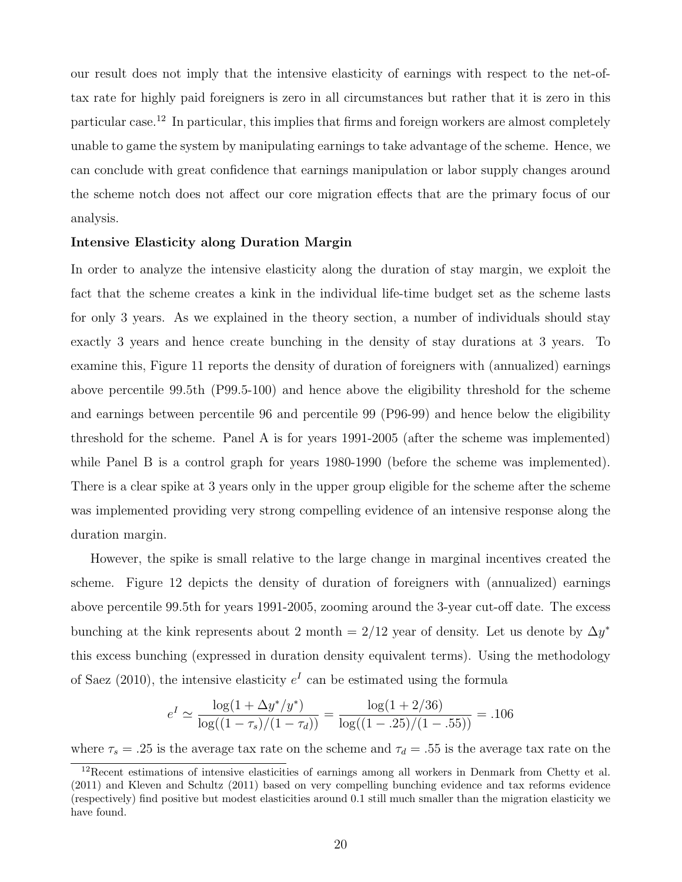our result does not imply that the intensive elasticity of earnings with respect to the net-oftax rate for highly paid foreigners is zero in all circumstances but rather that it is zero in this particular case.<sup>12</sup> In particular, this implies that firms and foreign workers are almost completely unable to game the system by manipulating earnings to take advantage of the scheme. Hence, we can conclude with great confidence that earnings manipulation or labor supply changes around the scheme notch does not affect our core migration effects that are the primary focus of our analysis.

### Intensive Elasticity along Duration Margin

In order to analyze the intensive elasticity along the duration of stay margin, we exploit the fact that the scheme creates a kink in the individual life-time budget set as the scheme lasts for only 3 years. As we explained in the theory section, a number of individuals should stay exactly 3 years and hence create bunching in the density of stay durations at 3 years. To examine this, Figure 11 reports the density of duration of foreigners with (annualized) earnings above percentile 99.5th (P99.5-100) and hence above the eligibility threshold for the scheme and earnings between percentile 96 and percentile 99 (P96-99) and hence below the eligibility threshold for the scheme. Panel A is for years 1991-2005 (after the scheme was implemented) while Panel B is a control graph for years 1980-1990 (before the scheme was implemented). There is a clear spike at 3 years only in the upper group eligible for the scheme after the scheme was implemented providing very strong compelling evidence of an intensive response along the duration margin.

However, the spike is small relative to the large change in marginal incentives created the scheme. Figure 12 depicts the density of duration of foreigners with (annualized) earnings above percentile 99.5th for years 1991-2005, zooming around the 3-year cut-off date. The excess bunching at the kink represents about 2 month = 2/12 year of density. Let us denote by  $\Delta y^*$ this excess bunching (expressed in duration density equivalent terms). Using the methodology of Saez (2010), the intensive elasticity  $e^I$  can be estimated using the formula

$$
e^{I} \simeq \frac{\log(1 + \Delta y^* / y^*)}{\log((1 - \tau_s)/(1 - \tau_d))} = \frac{\log(1 + 2/36)}{\log((1 - .25)/(1 - .55))} = .106
$$

where  $\tau_s = .25$  is the average tax rate on the scheme and  $\tau_d = .55$  is the average tax rate on the

<sup>&</sup>lt;sup>12</sup>Recent estimations of intensive elasticities of earnings among all workers in Denmark from Chetty et al. (2011) and Kleven and Schultz (2011) based on very compelling bunching evidence and tax reforms evidence (respectively) find positive but modest elasticities around 0.1 still much smaller than the migration elasticity we have found.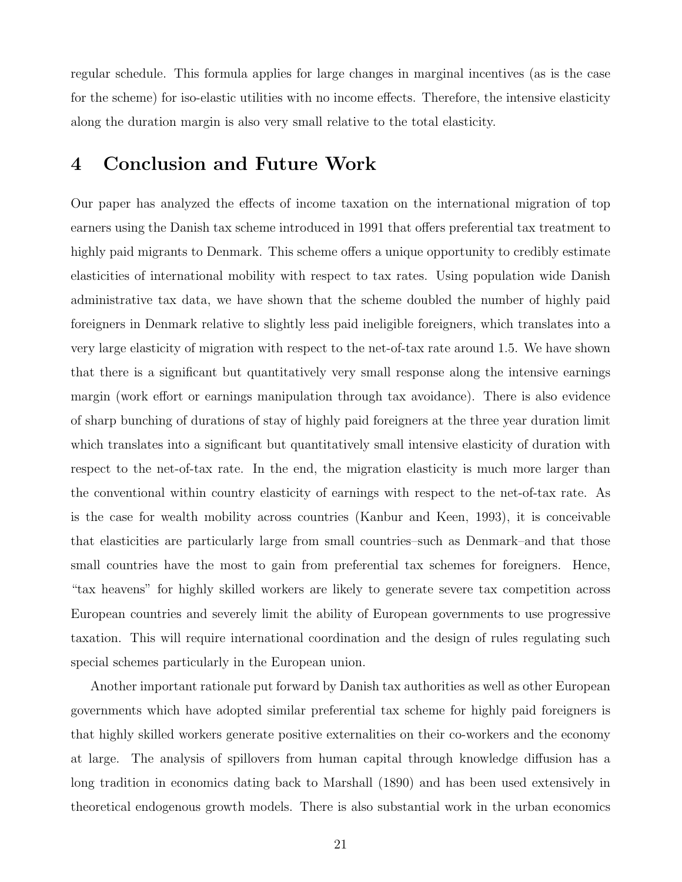regular schedule. This formula applies for large changes in marginal incentives (as is the case for the scheme) for iso-elastic utilities with no income effects. Therefore, the intensive elasticity along the duration margin is also very small relative to the total elasticity.

# 4 Conclusion and Future Work

Our paper has analyzed the effects of income taxation on the international migration of top earners using the Danish tax scheme introduced in 1991 that offers preferential tax treatment to highly paid migrants to Denmark. This scheme offers a unique opportunity to credibly estimate elasticities of international mobility with respect to tax rates. Using population wide Danish administrative tax data, we have shown that the scheme doubled the number of highly paid foreigners in Denmark relative to slightly less paid ineligible foreigners, which translates into a very large elasticity of migration with respect to the net-of-tax rate around 1.5. We have shown that there is a significant but quantitatively very small response along the intensive earnings margin (work effort or earnings manipulation through tax avoidance). There is also evidence of sharp bunching of durations of stay of highly paid foreigners at the three year duration limit which translates into a significant but quantitatively small intensive elasticity of duration with respect to the net-of-tax rate. In the end, the migration elasticity is much more larger than the conventional within country elasticity of earnings with respect to the net-of-tax rate. As is the case for wealth mobility across countries (Kanbur and Keen, 1993), it is conceivable that elasticities are particularly large from small countries–such as Denmark–and that those small countries have the most to gain from preferential tax schemes for foreigners. Hence, "tax heavens" for highly skilled workers are likely to generate severe tax competition across European countries and severely limit the ability of European governments to use progressive taxation. This will require international coordination and the design of rules regulating such special schemes particularly in the European union.

Another important rationale put forward by Danish tax authorities as well as other European governments which have adopted similar preferential tax scheme for highly paid foreigners is that highly skilled workers generate positive externalities on their co-workers and the economy at large. The analysis of spillovers from human capital through knowledge diffusion has a long tradition in economics dating back to Marshall (1890) and has been used extensively in theoretical endogenous growth models. There is also substantial work in the urban economics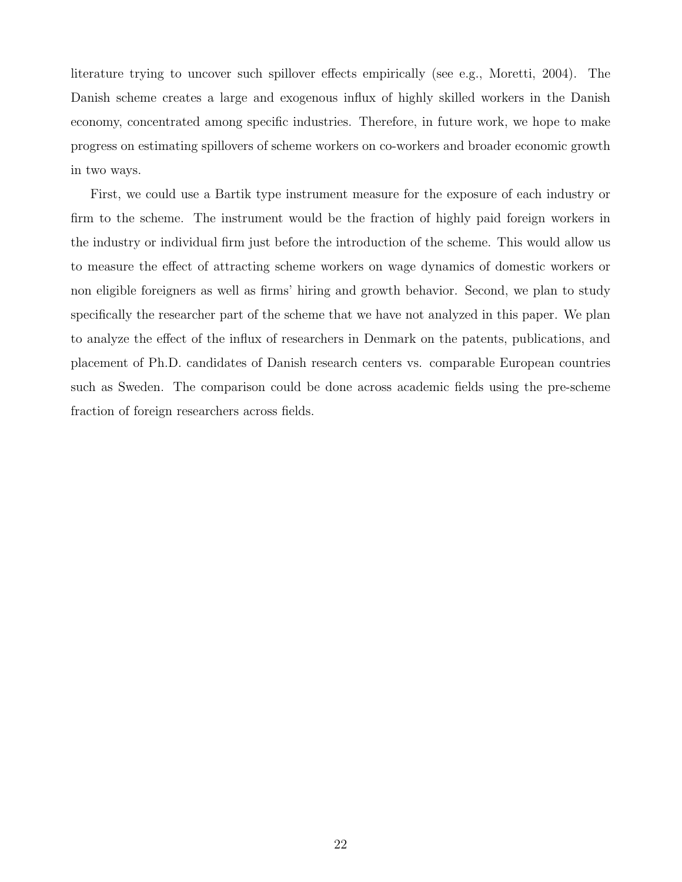literature trying to uncover such spillover effects empirically (see e.g., Moretti, 2004). The Danish scheme creates a large and exogenous influx of highly skilled workers in the Danish economy, concentrated among specific industries. Therefore, in future work, we hope to make progress on estimating spillovers of scheme workers on co-workers and broader economic growth in two ways.

First, we could use a Bartik type instrument measure for the exposure of each industry or firm to the scheme. The instrument would be the fraction of highly paid foreign workers in the industry or individual firm just before the introduction of the scheme. This would allow us to measure the effect of attracting scheme workers on wage dynamics of domestic workers or non eligible foreigners as well as firms' hiring and growth behavior. Second, we plan to study specifically the researcher part of the scheme that we have not analyzed in this paper. We plan to analyze the effect of the influx of researchers in Denmark on the patents, publications, and placement of Ph.D. candidates of Danish research centers vs. comparable European countries such as Sweden. The comparison could be done across academic fields using the pre-scheme fraction of foreign researchers across fields.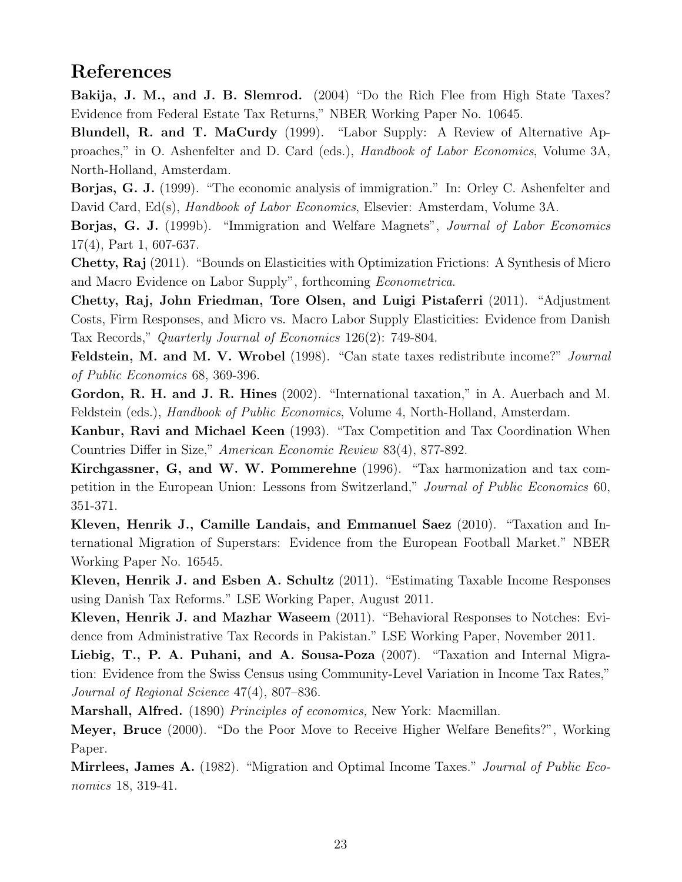# References

Bakija, J. M., and J. B. Slemrod. (2004) "Do the Rich Flee from High State Taxes? Evidence from Federal Estate Tax Returns," NBER Working Paper No. 10645.

Blundell, R. and T. MaCurdy (1999). "Labor Supply: A Review of Alternative Approaches," in O. Ashenfelter and D. Card (eds.), Handbook of Labor Economics, Volume 3A, North-Holland, Amsterdam.

Borjas, G. J. (1999). "The economic analysis of immigration." In: Orley C. Ashenfelter and David Card, Ed(s), *Handbook of Labor Economics*, Elsevier: Amsterdam, Volume 3A.

Borjas, G. J. (1999b). "Immigration and Welfare Magnets", Journal of Labor Economics 17(4), Part 1, 607-637.

Chetty, Raj (2011). "Bounds on Elasticities with Optimization Frictions: A Synthesis of Micro and Macro Evidence on Labor Supply", forthcoming Econometrica.

Chetty, Raj, John Friedman, Tore Olsen, and Luigi Pistaferri (2011). "Adjustment Costs, Firm Responses, and Micro vs. Macro Labor Supply Elasticities: Evidence from Danish Tax Records," Quarterly Journal of Economics 126(2): 749-804.

Feldstein, M. and M. V. Wrobel (1998). "Can state taxes redistribute income?" Journal of Public Economics 68, 369-396.

Gordon, R. H. and J. R. Hines (2002). "International taxation," in A. Auerbach and M. Feldstein (eds.), Handbook of Public Economics, Volume 4, North-Holland, Amsterdam.

Kanbur, Ravi and Michael Keen (1993). "Tax Competition and Tax Coordination When Countries Differ in Size," American Economic Review 83(4), 877-892.

Kirchgassner, G, and W. W. Pommerehne (1996). "Tax harmonization and tax competition in the European Union: Lessons from Switzerland," Journal of Public Economics 60, 351-371.

Kleven, Henrik J., Camille Landais, and Emmanuel Saez (2010). "Taxation and International Migration of Superstars: Evidence from the European Football Market." NBER Working Paper No. 16545.

Kleven, Henrik J. and Esben A. Schultz (2011). "Estimating Taxable Income Responses using Danish Tax Reforms." LSE Working Paper, August 2011.

Kleven, Henrik J. and Mazhar Waseem (2011). "Behavioral Responses to Notches: Evidence from Administrative Tax Records in Pakistan." LSE Working Paper, November 2011.

Liebig, T., P. A. Puhani, and A. Sousa-Poza (2007). "Taxation and Internal Migration: Evidence from the Swiss Census using Community-Level Variation in Income Tax Rates," Journal of Regional Science 47(4), 807–836.

Marshall, Alfred. (1890) Principles of economics, New York: Macmillan.

Meyer, Bruce (2000). "Do the Poor Move to Receive Higher Welfare Benefits?", Working Paper.

**Mirrlees, James A.** (1982). "Migration and Optimal Income Taxes." *Journal of Public Eco*nomics 18, 319-41.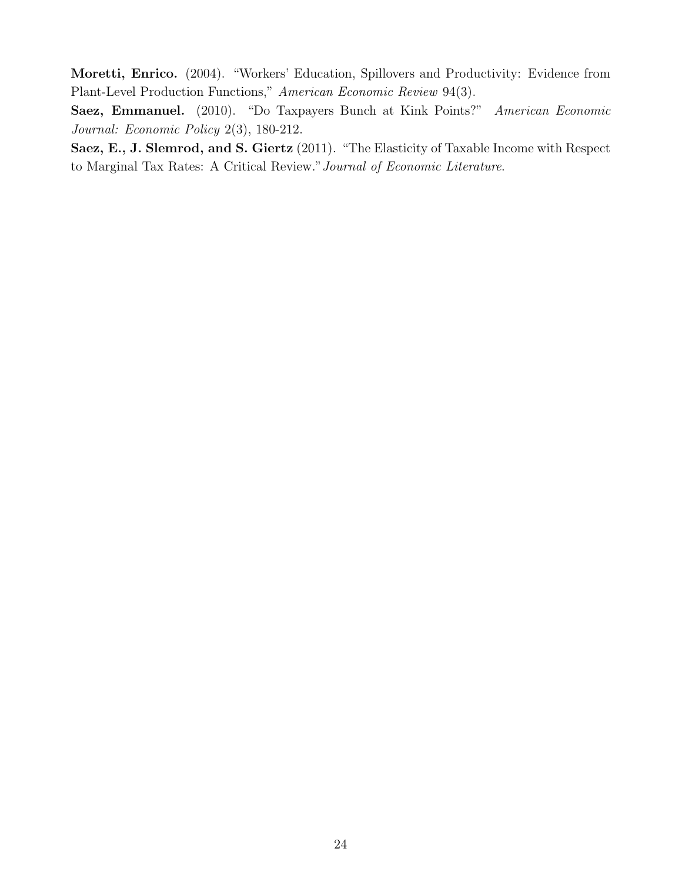Moretti, Enrico. (2004). "Workers' Education, Spillovers and Productivity: Evidence from Plant-Level Production Functions," American Economic Review 94(3).

Saez, Emmanuel. (2010). "Do Taxpayers Bunch at Kink Points?" American Economic Journal: Economic Policy 2(3), 180-212.

Saez, E., J. Slemrod, and S. Giertz (2011). "The Elasticity of Taxable Income with Respect to Marginal Tax Rates: A Critical Review."Journal of Economic Literature.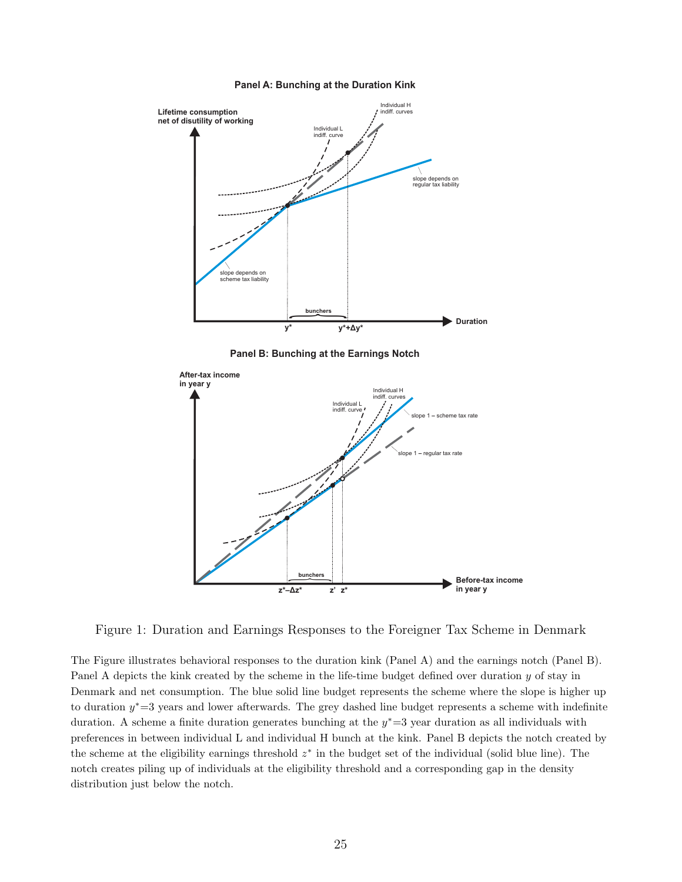

#### **Panel A: Bunching at the Duration Kink**

**Panel B: Bunching at the Earnings Notch**



Figure 1: Duration and Earnings Responses to the Foreigner Tax Scheme in Denmark

The Figure illustrates behavioral responses to the duration kink (Panel A) and the earnings notch (Panel B). Panel A depicts the kink created by the scheme in the life-time budget defined over duration  $y$  of stay in Denmark and net consumption. The blue solid line budget represents the scheme where the slope is higher up to duration  $y^* = 3$  years and lower afterwards. The grey dashed line budget represents a scheme with indefinite duration. A scheme a finite duration generates bunching at the  $y^* = 3$  year duration as all individuals with preferences in between individual L and individual H bunch at the kink. Panel B depicts the notch created by the scheme at the eligibility earnings threshold  $z^*$  in the budget set of the individual (solid blue line). The notch creates piling up of individuals at the eligibility threshold and a corresponding gap in the density distribution just below the notch.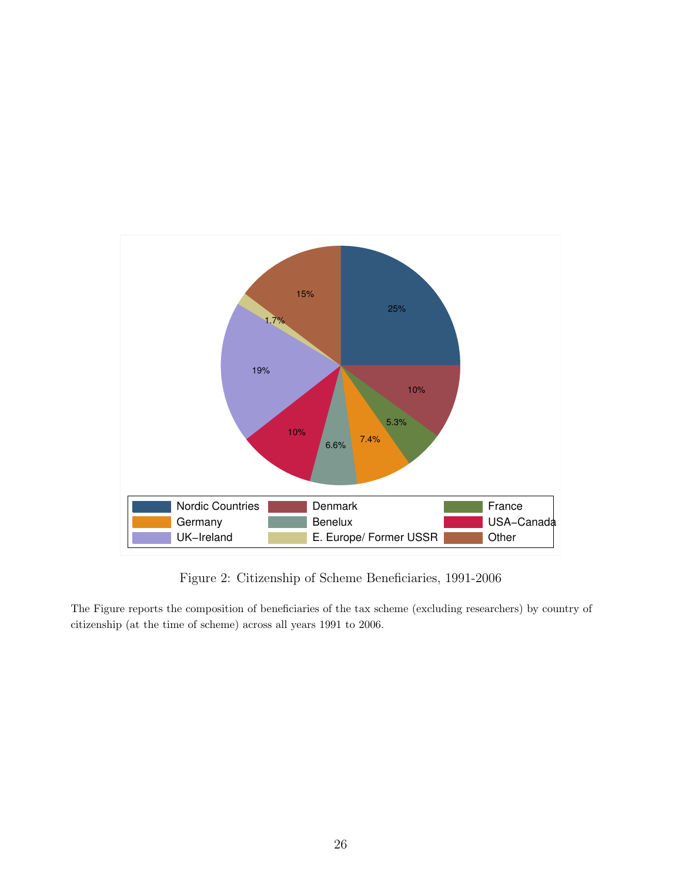

Figure 2: Citizenship of Scheme Beneficiaries, 1991-2006

The Figure reports the composition of beneficiaries of the tax scheme (excluding researchers) by country of citizenship (at the time of scheme) across all years 1991 to 2006.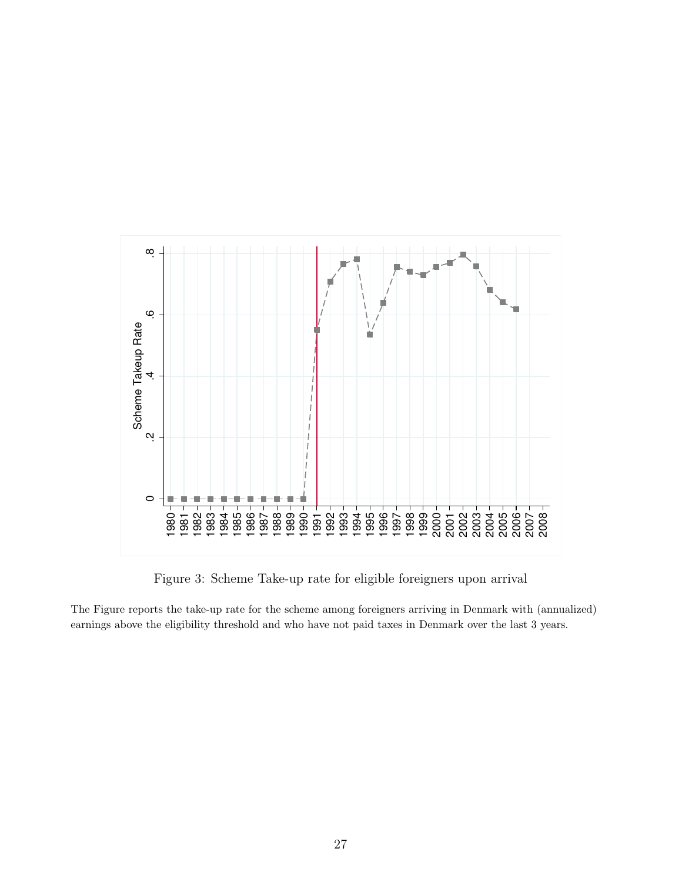

Figure 3: Scheme Take-up rate for eligible foreigners upon arrival

The Figure reports the take-up rate for the scheme among foreigners arriving in Denmark with (annualized) earnings above the eligibility threshold and who have not paid taxes in Denmark over the last 3 years.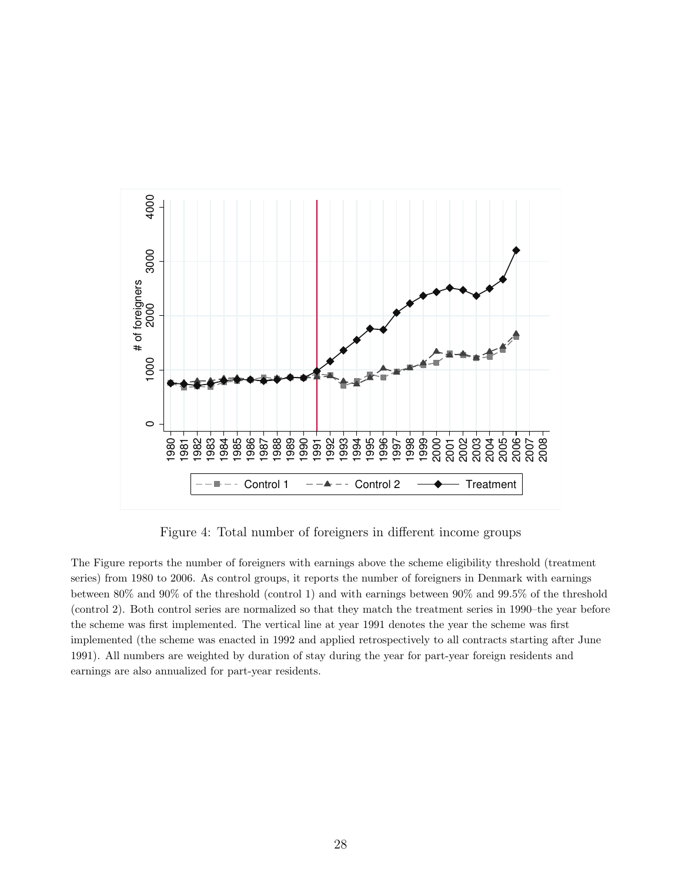

Figure 4: Total number of foreigners in different income groups

The Figure reports the number of foreigners with earnings above the scheme eligibility threshold (treatment series) from 1980 to 2006. As control groups, it reports the number of foreigners in Denmark with earnings between 80% and 90% of the threshold (control 1) and with earnings between 90% and 99.5% of the threshold (control 2). Both control series are normalized so that they match the treatment series in 1990–the year before the scheme was first implemented. The vertical line at year 1991 denotes the year the scheme was first implemented (the scheme was enacted in 1992 and applied retrospectively to all contracts starting after June 1991). All numbers are weighted by duration of stay during the year for part-year foreign residents and earnings are also annualized for part-year residents.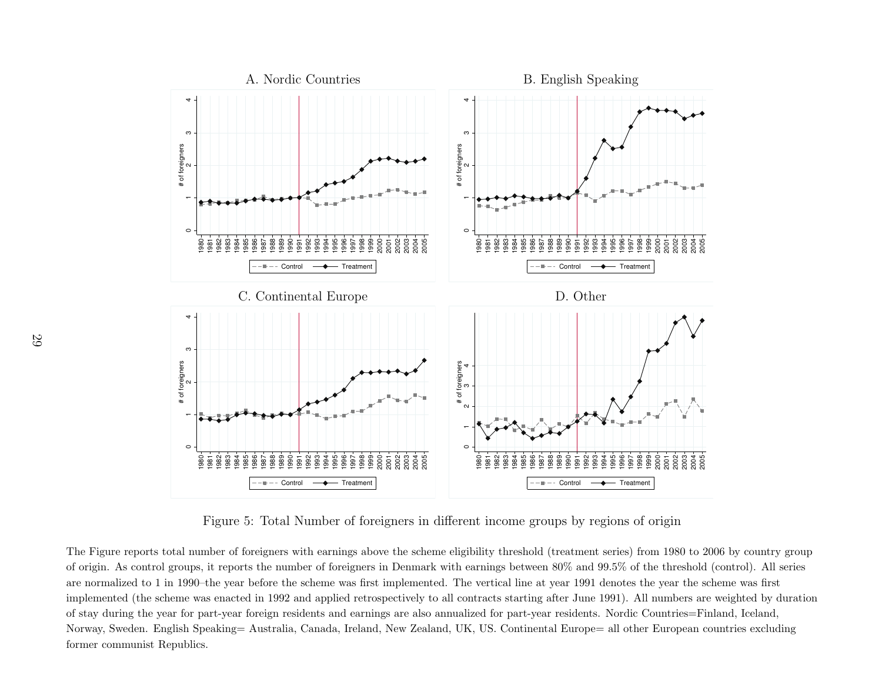

Figure 5: Total Number of foreigners in different income groups by regions of origin

The Figure reports total number of foreigners with earnings above the scheme eligibility threshold (treatment series) from <sup>1980</sup> to <sup>2006</sup> by country group of origin. As control groups, it reports the number of foreigners in Denmark with earnings between 80% and 99.5% of the threshold (control). All seriesare normalized to 1 in 1990–the year before the scheme was first implemented. The vertical line at year 1991 denotes the year the scheme was first implemented (the scheme was enacted in <sup>1992</sup> and applied retrospectively to all contracts starting after June 1991). All numbers are weighted by durationof stay during the year for part-year foreign residents and earnings are also annualized for part-year residents. Nordic Countries=Finland, Iceland,Norway, Sweden. English Speaking= Australia, Canada, Ireland, New Zealand, UK, US. Continental Europe= all other European countries excluding former communist Republics.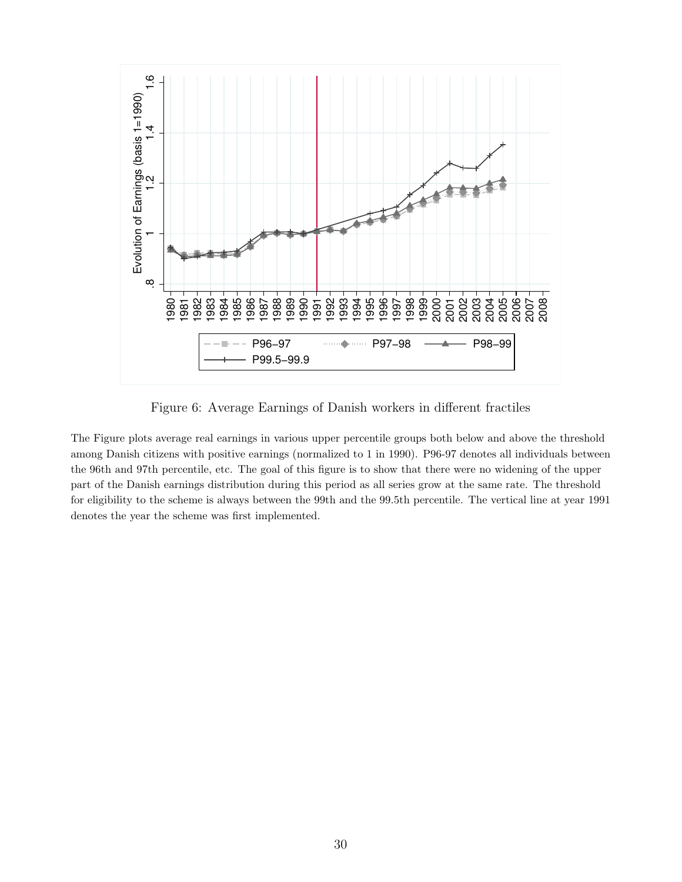

Figure 6: Average Earnings of Danish workers in different fractiles

The Figure plots average real earnings in various upper percentile groups both below and above the threshold among Danish citizens with positive earnings (normalized to 1 in 1990). P96-97 denotes all individuals between the 96th and 97th percentile, etc. The goal of this figure is to show that there were no widening of the upper part of the Danish earnings distribution during this period as all series grow at the same rate. The threshold for eligibility to the scheme is always between the 99th and the 99.5th percentile. The vertical line at year 1991 denotes the year the scheme was first implemented.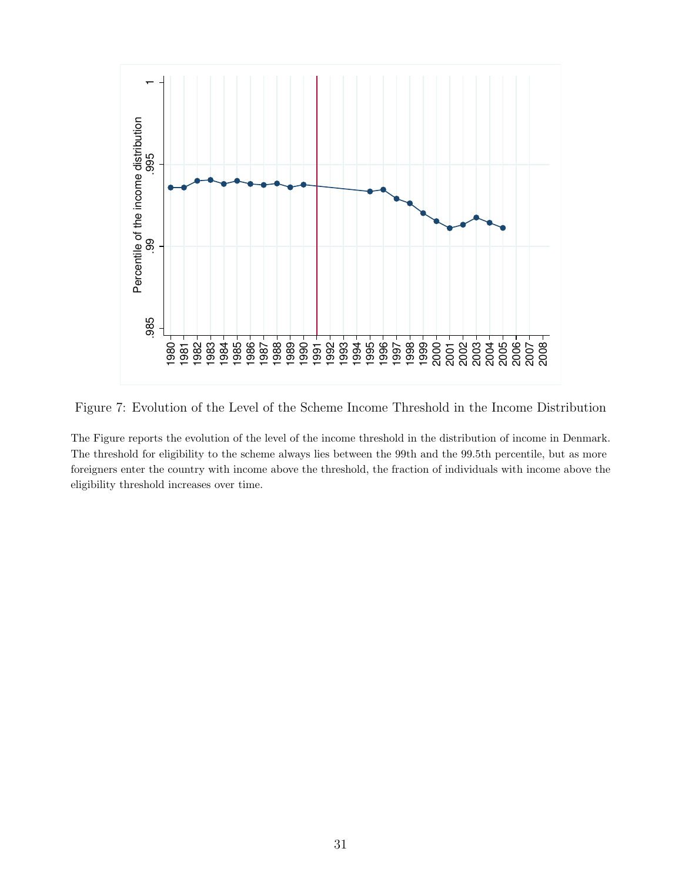

Figure 7: Evolution of the Level of the Scheme Income Threshold in the Income Distribution

The Figure reports the evolution of the level of the income threshold in the distribution of income in Denmark. The threshold for eligibility to the scheme always lies between the 99th and the 99.5th percentile, but as more foreigners enter the country with income above the threshold, the fraction of individuals with income above the eligibility threshold increases over time.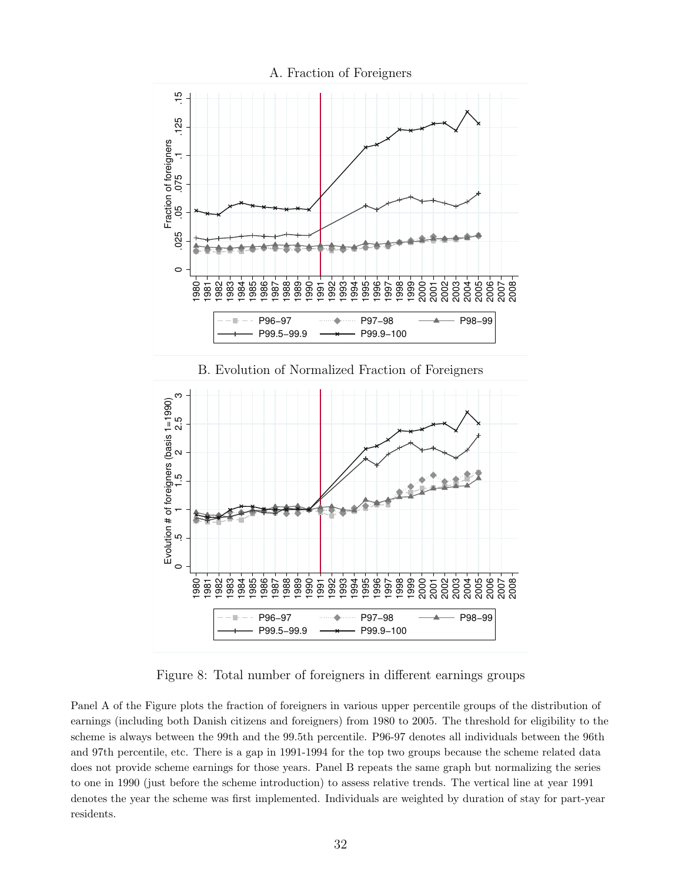

Figure 8: Total number of foreigners in different earnings groups

Panel A of the Figure plots the fraction of foreigners in various upper percentile groups of the distribution of earnings (including both Danish citizens and foreigners) from 1980 to 2005. The threshold for eligibility to the scheme is always between the 99th and the 99.5th percentile. P96-97 denotes all individuals between the 96th and 97th percentile, etc. There is a gap in 1991-1994 for the top two groups because the scheme related data does not provide scheme earnings for those years. Panel B repeats the same graph but normalizing the series to one in 1990 (just before the scheme introduction) to assess relative trends. The vertical line at year 1991 denotes the year the scheme was first implemented. Individuals are weighted by duration of stay for part-year residents.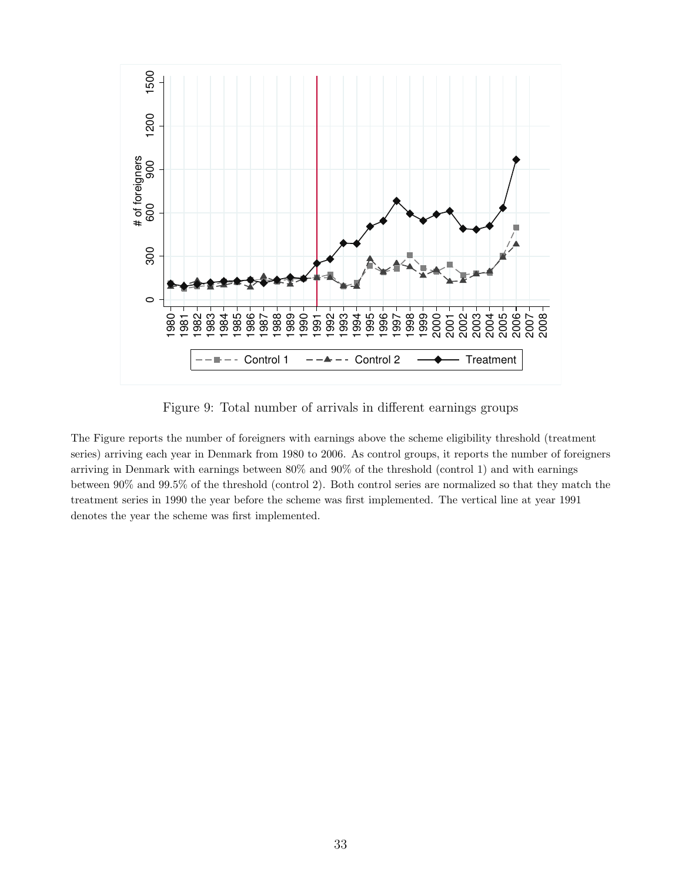

Figure 9: Total number of arrivals in different earnings groups

The Figure reports the number of foreigners with earnings above the scheme eligibility threshold (treatment series) arriving each year in Denmark from 1980 to 2006. As control groups, it reports the number of foreigners arriving in Denmark with earnings between 80% and 90% of the threshold (control 1) and with earnings between 90% and 99.5% of the threshold (control 2). Both control series are normalized so that they match the treatment series in 1990 the year before the scheme was first implemented. The vertical line at year 1991 denotes the year the scheme was first implemented.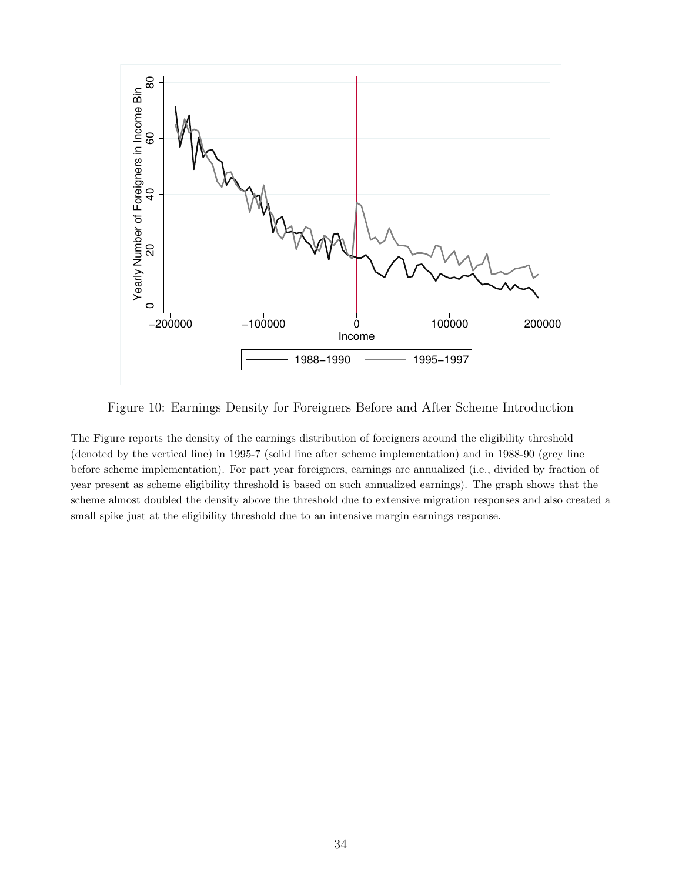

Figure 10: Earnings Density for Foreigners Before and After Scheme Introduction

The Figure reports the density of the earnings distribution of foreigners around the eligibility threshold (denoted by the vertical line) in 1995-7 (solid line after scheme implementation) and in 1988-90 (grey line before scheme implementation). For part year foreigners, earnings are annualized (i.e., divided by fraction of year present as scheme eligibility threshold is based on such annualized earnings). The graph shows that the scheme almost doubled the density above the threshold due to extensive migration responses and also created a small spike just at the eligibility threshold due to an intensive margin earnings response.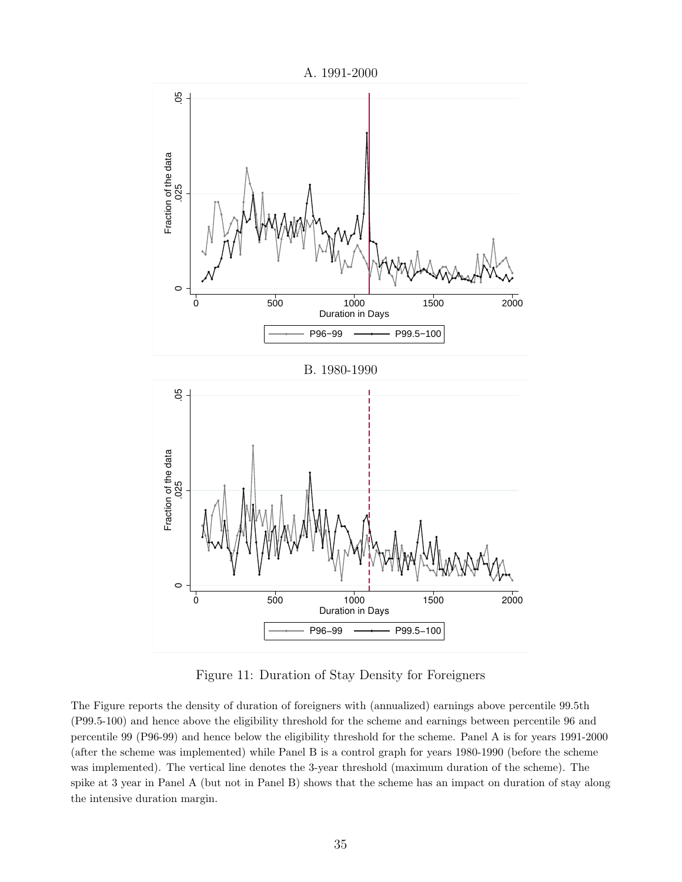

Figure 11: Duration of Stay Density for Foreigners

The Figure reports the density of duration of foreigners with (annualized) earnings above percentile 99.5th (P99.5-100) and hence above the eligibility threshold for the scheme and earnings between percentile 96 and percentile 99 (P96-99) and hence below the eligibility threshold for the scheme. Panel A is for years 1991-2000 (after the scheme was implemented) while Panel B is a control graph for years 1980-1990 (before the scheme was implemented). The vertical line denotes the 3-year threshold (maximum duration of the scheme). The spike at 3 year in Panel A (but not in Panel B) shows that the scheme has an impact on duration of stay along the intensive duration margin.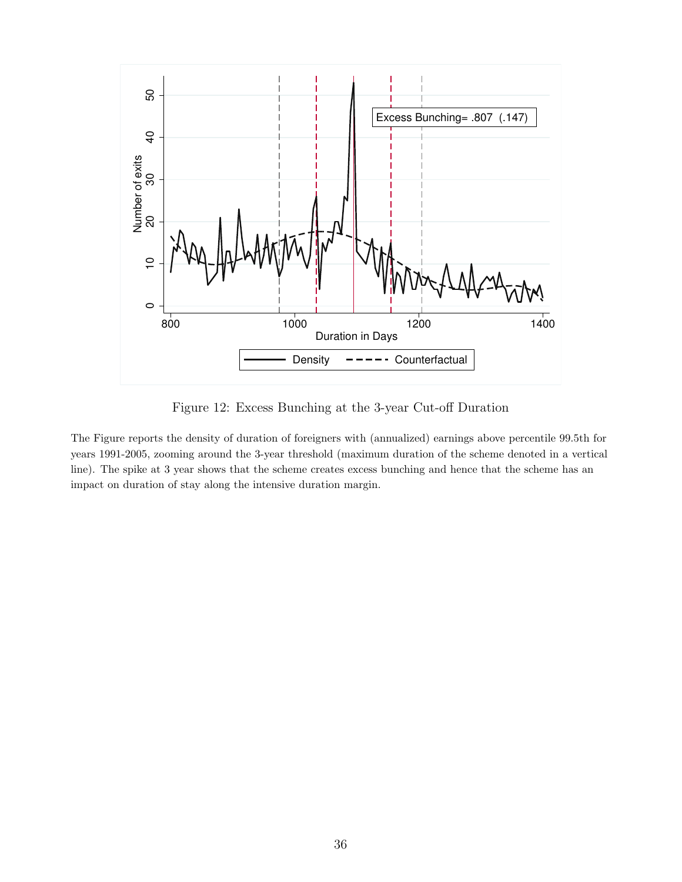

Figure 12: Excess Bunching at the 3-year Cut-off Duration

The Figure reports the density of duration of foreigners with (annualized) earnings above percentile 99.5th for years 1991-2005, zooming around the 3-year threshold (maximum duration of the scheme denoted in a vertical line). The spike at 3 year shows that the scheme creates excess bunching and hence that the scheme has an impact on duration of stay along the intensive duration margin.